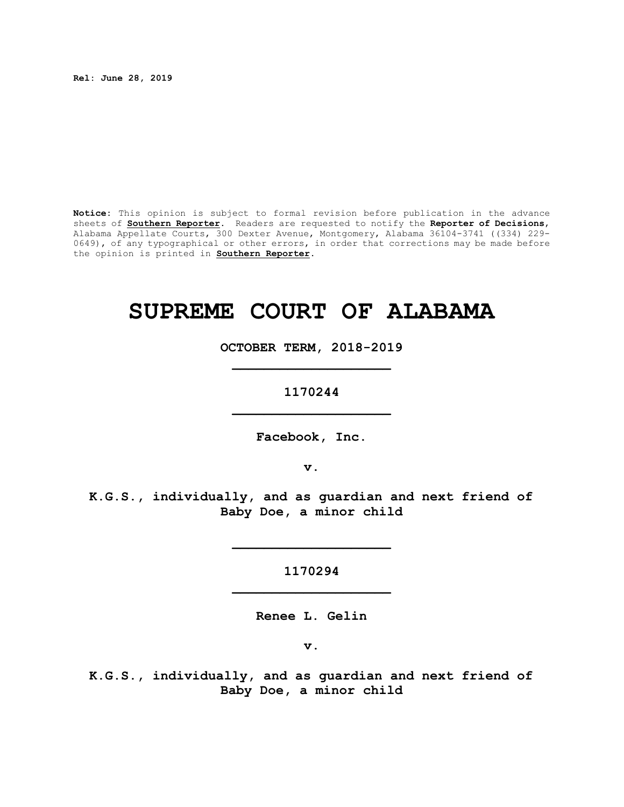**Rel: June 28, 2019**

**Notice:** This opinion is subject to formal revision before publication in the advance sheets of **Southern Reporter**. Readers are requested to notify the **Reporter of Decisions**, Alabama Appellate Courts, 300 Dexter Avenue, Montgomery, Alabama 36104-3741 ((334) 229- 0649), of any typographical or other errors, in order that corrections may be made before the opinion is printed in **Southern Reporter**.

# **SUPREME COURT OF ALABAMA**

**OCTOBER TERM, 2018-2019 \_\_\_\_\_\_\_\_\_\_\_\_\_\_\_\_\_\_\_\_**

**1170244 \_\_\_\_\_\_\_\_\_\_\_\_\_\_\_\_\_\_\_\_**

**Facebook, Inc.**

**v.**

**K.G.S., individually, and as guardian and next friend of Baby Doe, a minor child**

> **1170294 \_\_\_\_\_\_\_\_\_\_\_\_\_\_\_\_\_\_\_\_**

> **\_\_\_\_\_\_\_\_\_\_\_\_\_\_\_\_\_\_\_\_**

**Renee L. Gelin**

**v.**

**K.G.S., individually, and as guardian and next friend of Baby Doe, a minor child**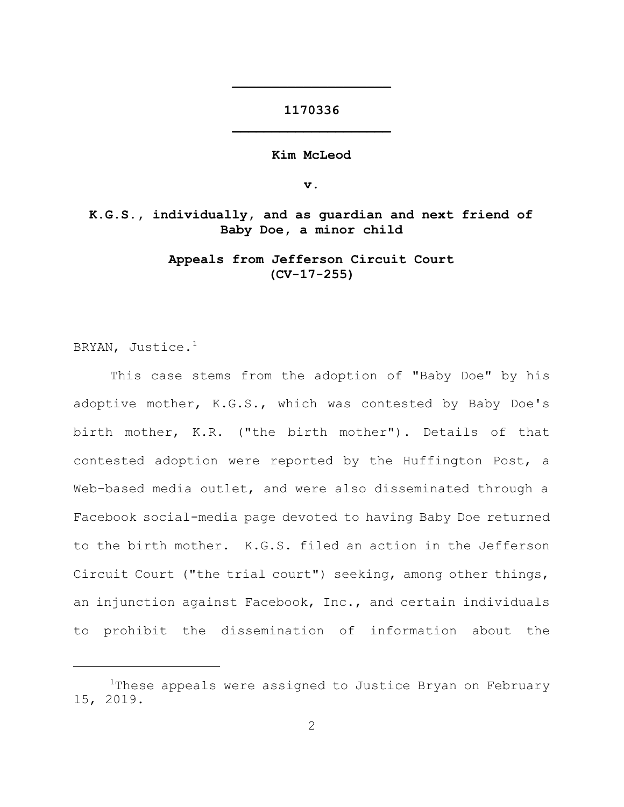# **1170336 \_\_\_\_\_\_\_\_\_\_\_\_\_\_\_\_\_\_\_\_**

**\_\_\_\_\_\_\_\_\_\_\_\_\_\_\_\_\_\_\_\_**

**Kim McLeod**

**v.**

**K.G.S., individually, and as guardian and next friend of Baby Doe, a minor child**

> **Appeals from Jefferson Circuit Court (CV-17-255)**

BRYAN, Justice.<sup>1</sup>

This case stems from the adoption of "Baby Doe" by his adoptive mother, K.G.S., which was contested by Baby Doe's birth mother, K.R. ("the birth mother"). Details of that contested adoption were reported by the Huffington Post, a Web-based media outlet, and were also disseminated through a Facebook social-media page devoted to having Baby Doe returned to the birth mother. K.G.S. filed an action in the Jefferson Circuit Court ("the trial court") seeking, among other things, an injunction against Facebook, Inc., and certain individuals to prohibit the dissemination of information about the

<sup>&</sup>lt;sup>1</sup>These appeals were assigned to Justice Bryan on February 15, 2019.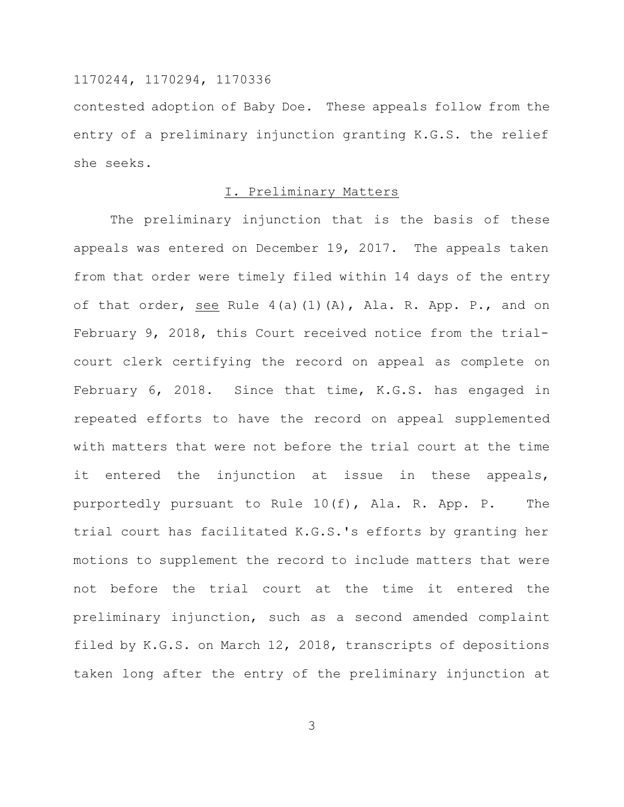contested adoption of Baby Doe. These appeals follow from the entry of a preliminary injunction granting K.G.S. the relief she seeks.

## I. Preliminary Matters

The preliminary injunction that is the basis of these appeals was entered on December 19, 2017. The appeals taken from that order were timely filed within 14 days of the entry of that order, see Rule 4(a)(1)(A), Ala. R. App. P., and on February 9, 2018, this Court received notice from the trialcourt clerk certifying the record on appeal as complete on February 6, 2018. Since that time, K.G.S. has engaged in repeated efforts to have the record on appeal supplemented with matters that were not before the trial court at the time it entered the injunction at issue in these appeals, purportedly pursuant to Rule 10(f), Ala. R. App. P. The trial court has facilitated K.G.S.'s efforts by granting her motions to supplement the record to include matters that were not before the trial court at the time it entered the preliminary injunction, such as a second amended complaint filed by K.G.S. on March 12, 2018, transcripts of depositions taken long after the entry of the preliminary injunction at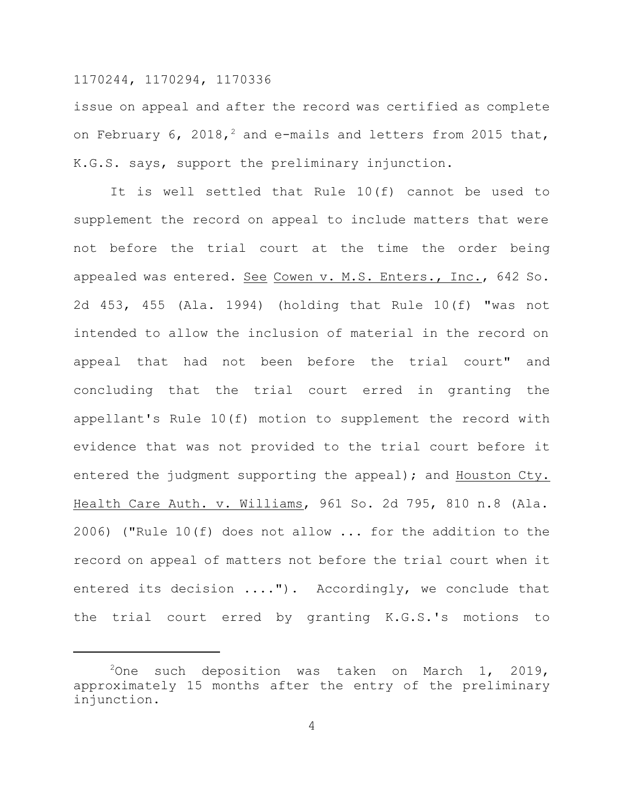issue on appeal and after the record was certified as complete on February  $6$ , 2018,<sup>2</sup> and e-mails and letters from 2015 that, K.G.S. says, support the preliminary injunction.

It is well settled that Rule 10(f) cannot be used to supplement the record on appeal to include matters that were not before the trial court at the time the order being appealed was entered. See Cowen v. M.S. Enters., Inc., 642 So. 2d 453, 455 (Ala. 1994) (holding that Rule 10(f) "was not intended to allow the inclusion of material in the record on appeal that had not been before the trial court" and concluding that the trial court erred in granting the appellant's Rule 10(f) motion to supplement the record with evidence that was not provided to the trial court before it entered the judgment supporting the appeal); and Houston Cty. Health Care Auth. v. Williams, 961 So. 2d 795, 810 n.8 (Ala. 2006) ("Rule 10(f) does not allow  $\ldots$  for the addition to the record on appeal of matters not before the trial court when it entered its decision ...."). Accordingly, we conclude that the trial court erred by granting K.G.S.'s motions to

<sup>&</sup>lt;sup>2</sup>One such deposition was taken on March 1, 2019, approximately 15 months after the entry of the preliminary injunction.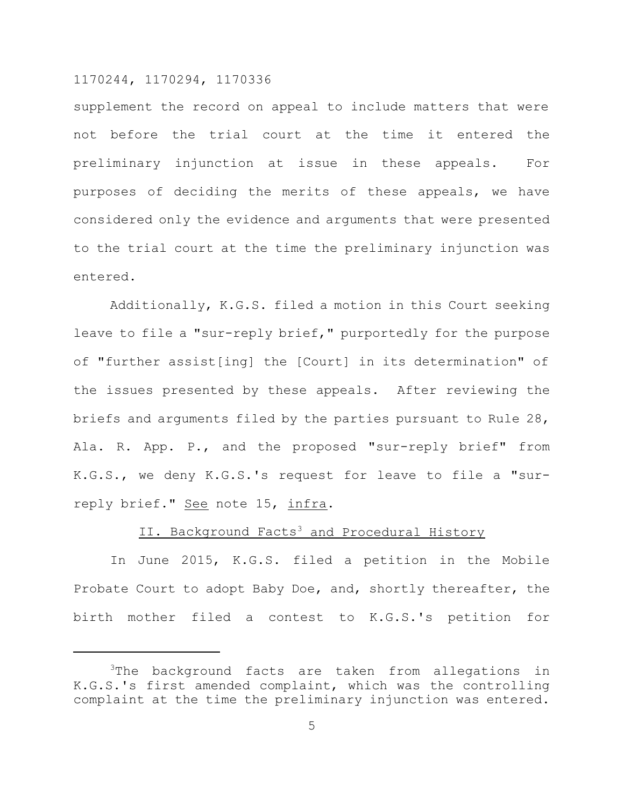supplement the record on appeal to include matters that were not before the trial court at the time it entered the preliminary injunction at issue in these appeals. For purposes of deciding the merits of these appeals, we have considered only the evidence and arguments that were presented to the trial court at the time the preliminary injunction was entered.

Additionally, K.G.S. filed a motion in this Court seeking leave to file a "sur-reply brief," purportedly for the purpose of "further assist[ing] the [Court] in its determination" of the issues presented by these appeals. After reviewing the briefs and arguments filed by the parties pursuant to Rule 28, Ala. R. App. P., and the proposed "sur-reply brief" from K.G.S., we deny K.G.S.'s request for leave to file a "surreply brief." See note 15, infra.

#### II. Background Facts<sup>3</sup> and Procedural History

In June 2015, K.G.S. filed a petition in the Mobile Probate Court to adopt Baby Doe, and, shortly thereafter, the birth mother filed a contest to K.G.S.'s petition for

<sup>&</sup>lt;sup>3</sup>The background facts are taken from allegations in K.G.S.'s first amended complaint, which was the controlling complaint at the time the preliminary injunction was entered.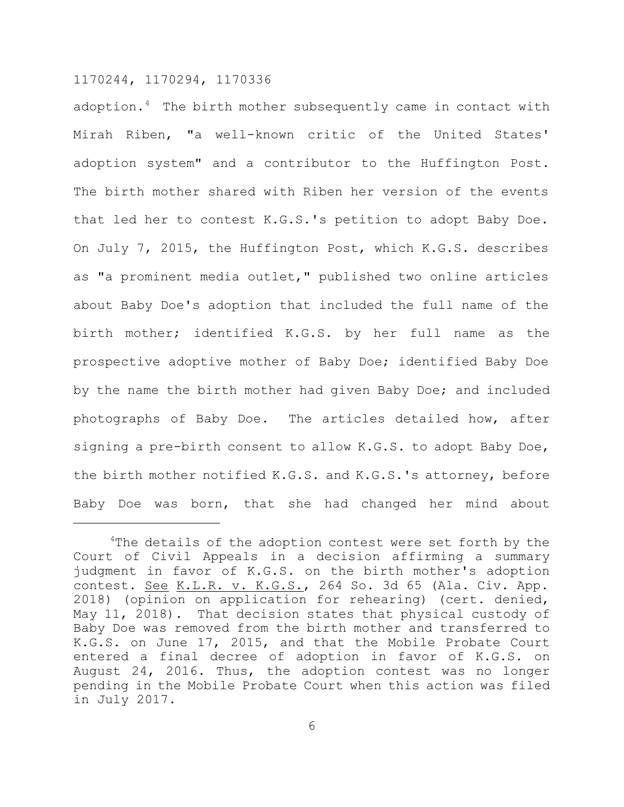adoption. $4$  The birth mother subsequently came in contact with Mirah Riben, "a well-known critic of the United States' adoption system" and a contributor to the Huffington Post. The birth mother shared with Riben her version of the events that led her to contest K.G.S.'s petition to adopt Baby Doe. On July 7, 2015, the Huffington Post, which K.G.S. describes as "a prominent media outlet," published two online articles about Baby Doe's adoption that included the full name of the birth mother; identified K.G.S. by her full name as the prospective adoptive mother of Baby Doe; identified Baby Doe by the name the birth mother had given Baby Doe; and included photographs of Baby Doe. The articles detailed how, after signing a pre-birth consent to allow K.G.S. to adopt Baby Doe, the birth mother notified K.G.S. and K.G.S.'s attorney, before Baby Doe was born, that she had changed her mind about

 $4$ The details of the adoption contest were set forth by the Court of Civil Appeals in a decision affirming a summary judgment in favor of K.G.S. on the birth mother's adoption contest. See K.L.R. v. K.G.S., 264 So. 3d 65 (Ala. Civ. App. 2018) (opinion on application for rehearing) (cert. denied, May 11, 2018). That decision states that physical custody of Baby Doe was removed from the birth mother and transferred to K.G.S. on June 17, 2015, and that the Mobile Probate Court entered a final decree of adoption in favor of K.G.S. on August 24, 2016. Thus, the adoption contest was no longer pending in the Mobile Probate Court when this action was filed in July 2017.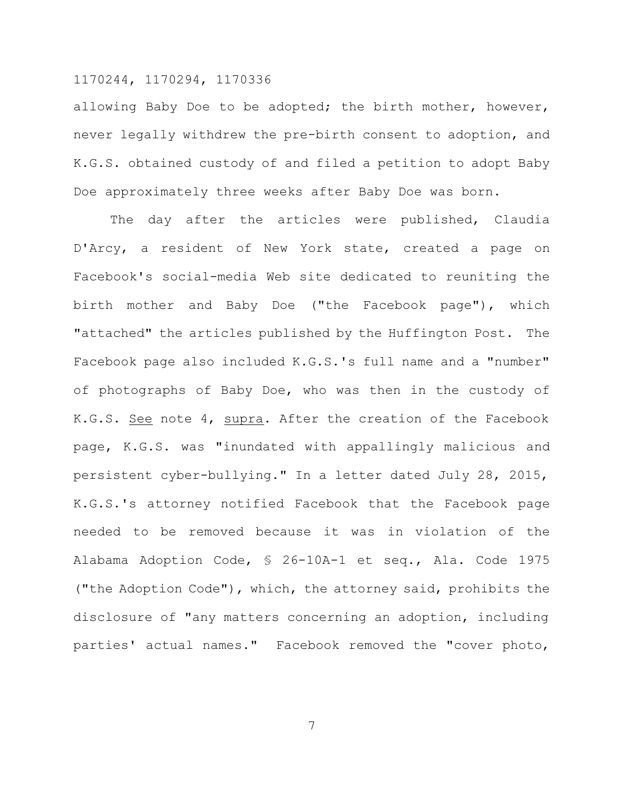allowing Baby Doe to be adopted; the birth mother, however, never legally withdrew the pre-birth consent to adoption, and K.G.S. obtained custody of and filed a petition to adopt Baby Doe approximately three weeks after Baby Doe was born.

The day after the articles were published, Claudia D'Arcy, a resident of New York state, created a page on Facebook's social-media Web site dedicated to reuniting the birth mother and Baby Doe ("the Facebook page"), which "attached" the articles published by the Huffington Post. The Facebook page also included K.G.S.'s full name and a "number" of photographs of Baby Doe, who was then in the custody of K.G.S. See note 4, supra. After the creation of the Facebook page, K.G.S. was "inundated with appallingly malicious and persistent cyber-bullying." In a letter dated July 28, 2015, K.G.S.'s attorney notified Facebook that the Facebook page needed to be removed because it was in violation of the Alabama Adoption Code, § 26-10A-1 et seq., Ala. Code 1975 ("the Adoption Code"), which, the attorney said, prohibits the disclosure of "any matters concerning an adoption, including parties' actual names." Facebook removed the "cover photo,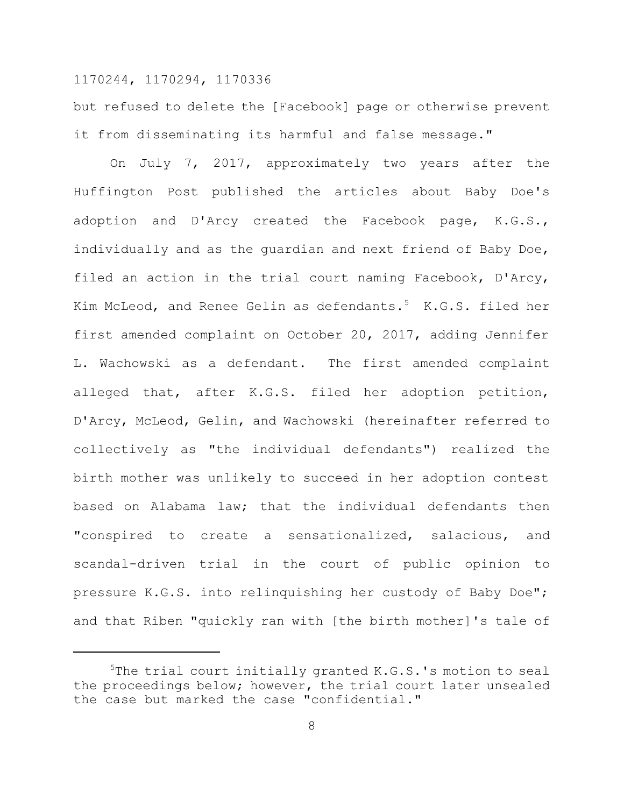but refused to delete the [Facebook] page or otherwise prevent it from disseminating its harmful and false message."

On July 7, 2017, approximately two years after the Huffington Post published the articles about Baby Doe's adoption and D'Arcy created the Facebook page, K.G.S., individually and as the quardian and next friend of Baby Doe, filed an action in the trial court naming Facebook, D'Arcy, Kim McLeod, and Renee Gelin as defendants.<sup>5</sup> K.G.S. filed her first amended complaint on October 20, 2017, adding Jennifer L. Wachowski as a defendant. The first amended complaint alleged that, after K.G.S. filed her adoption petition, D'Arcy, McLeod, Gelin, and Wachowski (hereinafter referred to collectively as "the individual defendants") realized the birth mother was unlikely to succeed in her adoption contest based on Alabama law; that the individual defendants then "conspired to create a sensationalized, salacious, and scandal-driven trial in the court of public opinion to pressure K.G.S. into relinquishing her custody of Baby Doe"; and that Riben "quickly ran with [the birth mother]'s tale of

<sup>&</sup>lt;sup>5</sup>The trial court initially granted K.G.S.'s motion to seal the proceedings below; however, the trial court later unsealed the case but marked the case "confidential."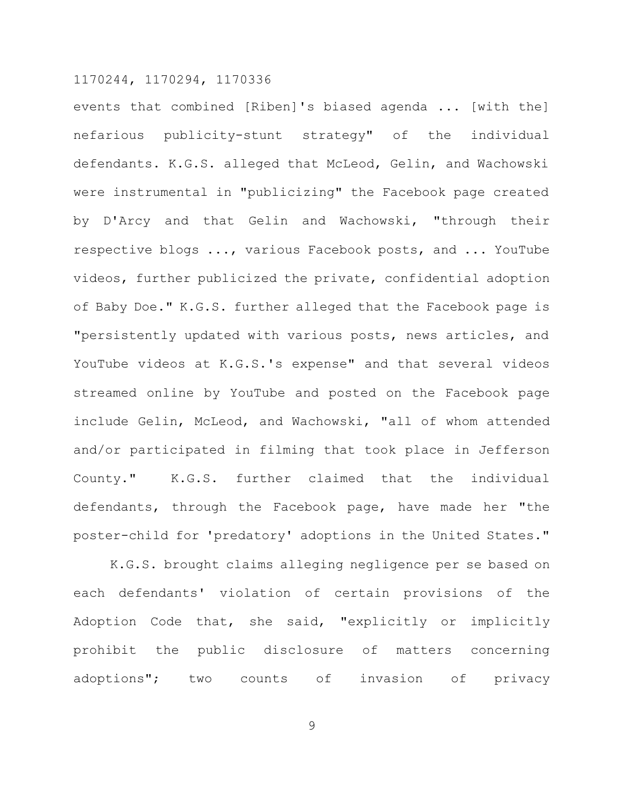events that combined [Riben]'s biased agenda ... [with the] nefarious publicity-stunt strategy" of the individual defendants. K.G.S. alleged that McLeod, Gelin, and Wachowski were instrumental in "publicizing" the Facebook page created by D'Arcy and that Gelin and Wachowski, "through their respective blogs ..., various Facebook posts, and ... YouTube videos, further publicized the private, confidential adoption of Baby Doe." K.G.S. further alleged that the Facebook page is "persistently updated with various posts, news articles, and YouTube videos at K.G.S.'s expense" and that several videos streamed online by YouTube and posted on the Facebook page include Gelin, McLeod, and Wachowski, "all of whom attended and/or participated in filming that took place in Jefferson County." K.G.S. further claimed that the individual defendants, through the Facebook page, have made her "the poster-child for 'predatory' adoptions in the United States."

K.G.S. brought claims alleging negligence per se based on each defendants' violation of certain provisions of the Adoption Code that, she said, "explicitly or implicitly prohibit the public disclosure of matters concerning adoptions"; two counts of invasion of privacy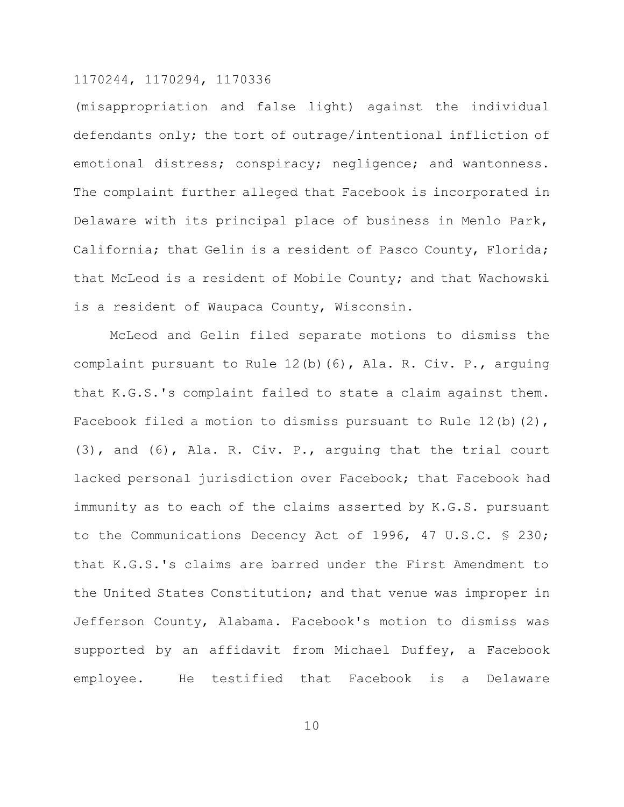(misappropriation and false light) against the individual defendants only; the tort of outrage/intentional infliction of emotional distress; conspiracy; negligence; and wantonness. The complaint further alleged that Facebook is incorporated in Delaware with its principal place of business in Menlo Park, California; that Gelin is a resident of Pasco County, Florida; that McLeod is a resident of Mobile County; and that Wachowski is a resident of Waupaca County, Wisconsin.

McLeod and Gelin filed separate motions to dismiss the complaint pursuant to Rule 12(b)(6), Ala. R. Civ. P., arguing that K.G.S.'s complaint failed to state a claim against them. Facebook filed a motion to dismiss pursuant to Rule 12(b)(2), (3), and (6), Ala. R. Civ. P., arguing that the trial court lacked personal jurisdiction over Facebook; that Facebook had immunity as to each of the claims asserted by K.G.S. pursuant to the Communications Decency Act of 1996, 47 U.S.C. § 230; that K.G.S.'s claims are barred under the First Amendment to the United States Constitution; and that venue was improper in Jefferson County, Alabama. Facebook's motion to dismiss was supported by an affidavit from Michael Duffey, a Facebook employee. He testified that Facebook is a Delaware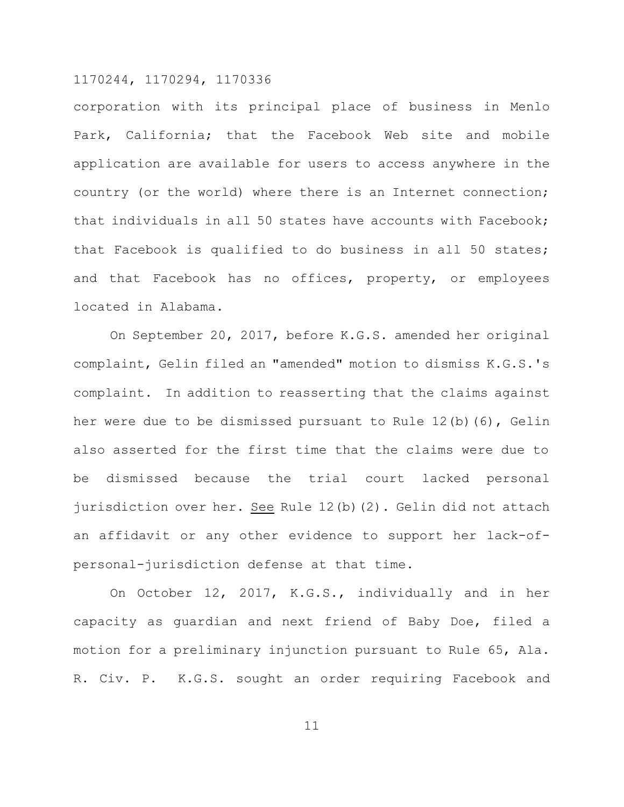corporation with its principal place of business in Menlo Park, California; that the Facebook Web site and mobile application are available for users to access anywhere in the country (or the world) where there is an Internet connection; that individuals in all 50 states have accounts with Facebook; that Facebook is qualified to do business in all 50 states; and that Facebook has no offices, property, or employees located in Alabama.

On September 20, 2017, before K.G.S. amended her original complaint, Gelin filed an "amended" motion to dismiss K.G.S.'s complaint. In addition to reasserting that the claims against her were due to be dismissed pursuant to Rule 12(b)(6), Gelin also asserted for the first time that the claims were due to be dismissed because the trial court lacked personal jurisdiction over her. See Rule 12(b)(2). Gelin did not attach an affidavit or any other evidence to support her lack-ofpersonal-jurisdiction defense at that time.

On October 12, 2017, K.G.S., individually and in her capacity as guardian and next friend of Baby Doe, filed a motion for a preliminary injunction pursuant to Rule 65, Ala. R. Civ. P. K.G.S. sought an order requiring Facebook and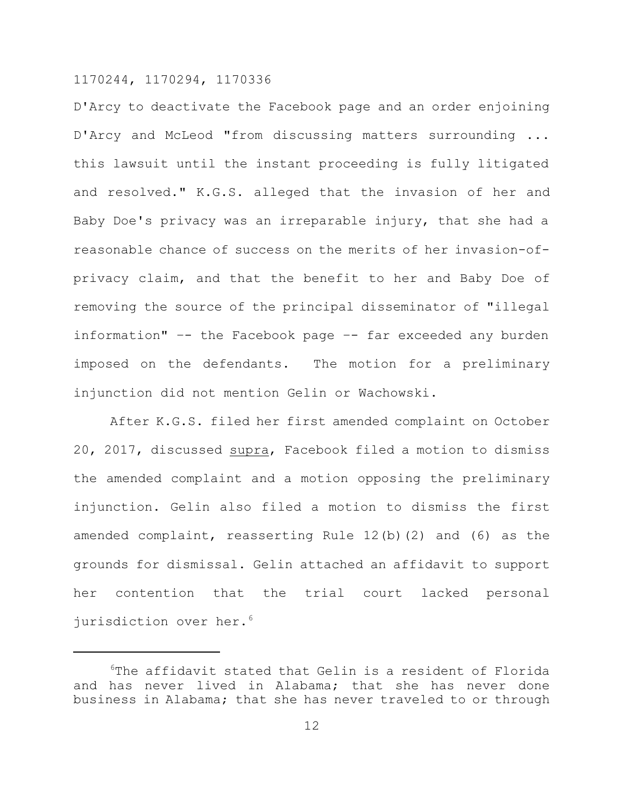D'Arcy to deactivate the Facebook page and an order enjoining D'Arcy and McLeod "from discussing matters surrounding ... this lawsuit until the instant proceeding is fully litigated and resolved." K.G.S. alleged that the invasion of her and Baby Doe's privacy was an irreparable injury, that she had a reasonable chance of success on the merits of her invasion-ofprivacy claim, and that the benefit to her and Baby Doe of removing the source of the principal disseminator of "illegal information" –- the Facebook page –- far exceeded any burden imposed on the defendants. The motion for a preliminary injunction did not mention Gelin or Wachowski.

After K.G.S. filed her first amended complaint on October 20, 2017, discussed supra, Facebook filed a motion to dismiss the amended complaint and a motion opposing the preliminary injunction. Gelin also filed a motion to dismiss the first amended complaint, reasserting Rule 12(b)(2) and (6) as the grounds for dismissal. Gelin attached an affidavit to support her contention that the trial court lacked personal jurisdiction over her.<sup>6</sup>

<sup>6</sup>The affidavit stated that Gelin is a resident of Florida and has never lived in Alabama; that she has never done business in Alabama; that she has never traveled to or through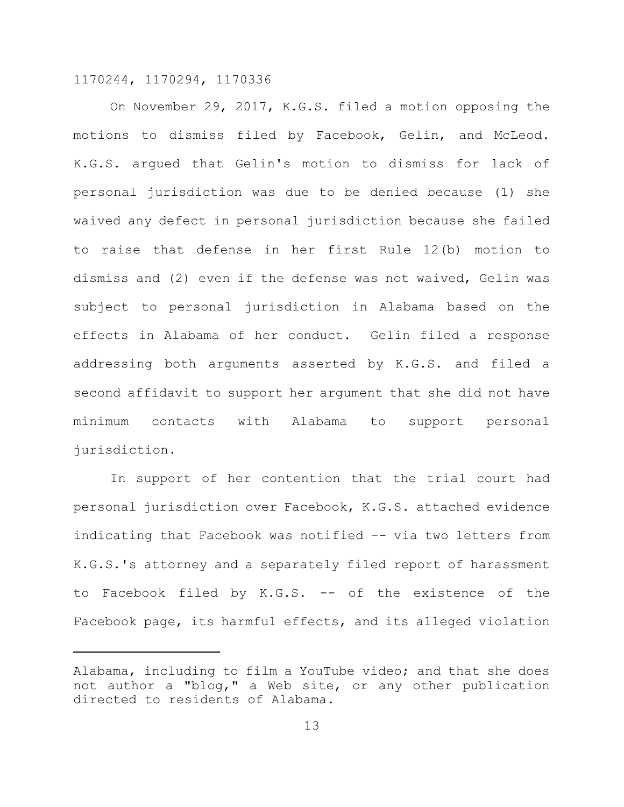On November 29, 2017, K.G.S. filed a motion opposing the motions to dismiss filed by Facebook, Gelin, and McLeod. K.G.S. argued that Gelin's motion to dismiss for lack of personal jurisdiction was due to be denied because (1) she waived any defect in personal jurisdiction because she failed to raise that defense in her first Rule 12(b) motion to dismiss and (2) even if the defense was not waived, Gelin was subject to personal jurisdiction in Alabama based on the effects in Alabama of her conduct. Gelin filed a response addressing both arguments asserted by K.G.S. and filed a second affidavit to support her argument that she did not have minimum contacts with Alabama to support personal jurisdiction.

In support of her contention that the trial court had personal jurisdiction over Facebook, K.G.S. attached evidence indicating that Facebook was notified –- via two letters from K.G.S.'s attorney and a separately filed report of harassment to Facebook filed by K.G.S. -- of the existence of the Facebook page, its harmful effects, and its alleged violation

Alabama, including to film a YouTube video; and that she does not author a "blog," a Web site, or any other publication directed to residents of Alabama.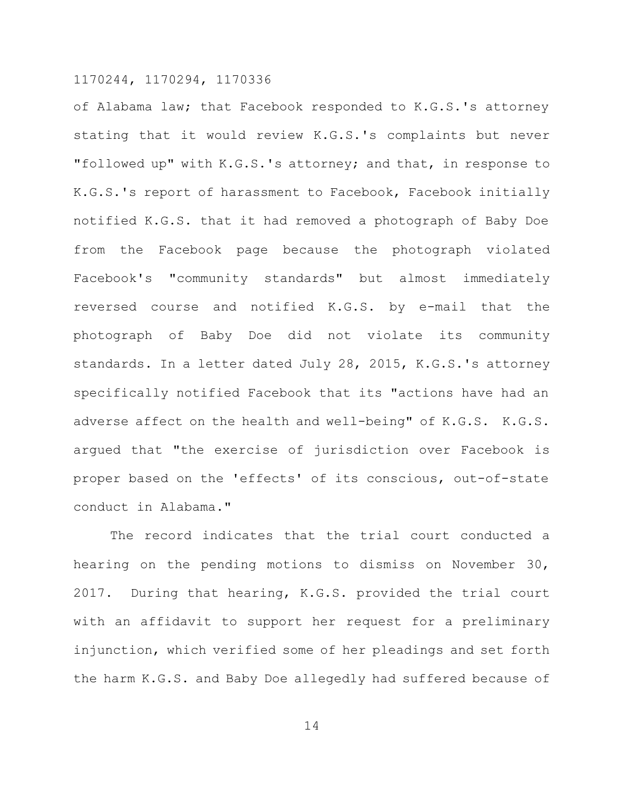of Alabama law; that Facebook responded to K.G.S.'s attorney stating that it would review K.G.S.'s complaints but never "followed up" with K.G.S.'s attorney; and that, in response to K.G.S.'s report of harassment to Facebook, Facebook initially notified K.G.S. that it had removed a photograph of Baby Doe from the Facebook page because the photograph violated Facebook's "community standards" but almost immediately reversed course and notified K.G.S. by e-mail that the photograph of Baby Doe did not violate its community standards. In a letter dated July 28, 2015, K.G.S.'s attorney specifically notified Facebook that its "actions have had an adverse affect on the health and well-being" of K.G.S. K.G.S. argued that "the exercise of jurisdiction over Facebook is proper based on the 'effects' of its conscious, out-of-state conduct in Alabama."

The record indicates that the trial court conducted a hearing on the pending motions to dismiss on November 30, 2017. During that hearing, K.G.S. provided the trial court with an affidavit to support her request for a preliminary injunction, which verified some of her pleadings and set forth the harm K.G.S. and Baby Doe allegedly had suffered because of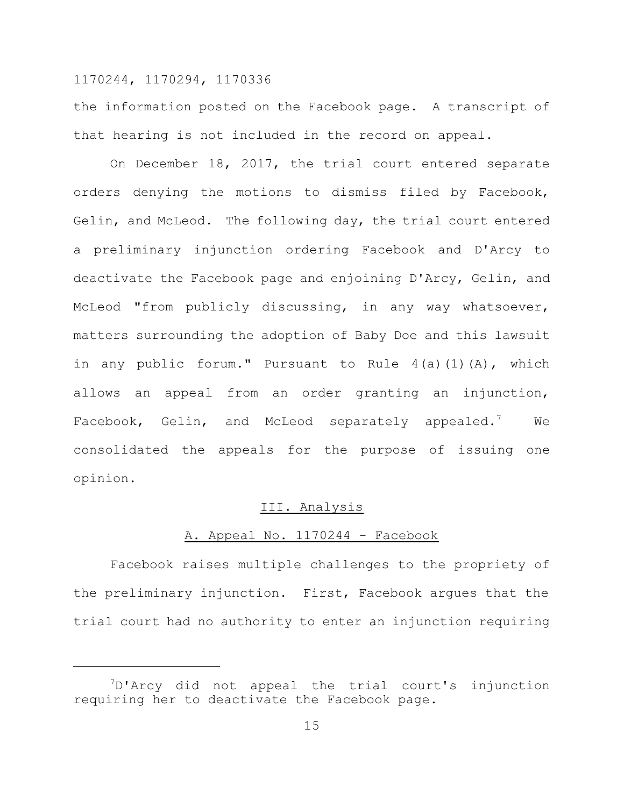the information posted on the Facebook page. A transcript of that hearing is not included in the record on appeal.

On December 18, 2017, the trial court entered separate orders denying the motions to dismiss filed by Facebook, Gelin, and McLeod. The following day, the trial court entered a preliminary injunction ordering Facebook and D'Arcy to deactivate the Facebook page and enjoining D'Arcy, Gelin, and McLeod "from publicly discussing, in any way whatsoever, matters surrounding the adoption of Baby Doe and this lawsuit in any public forum." Pursuant to Rule 4(a)(1)(A), which allows an appeal from an order granting an injunction, Facebook, Gelin, and McLeod separately appealed.<sup>7</sup> We consolidated the appeals for the purpose of issuing one opinion.

#### III. Analysis

## A. Appeal No. 1170244 - Facebook

Facebook raises multiple challenges to the propriety of the preliminary injunction. First, Facebook argues that the trial court had no authority to enter an injunction requiring

<sup>&</sup>lt;sup>7</sup>D'Arcy did not appeal the trial court's injunction requiring her to deactivate the Facebook page.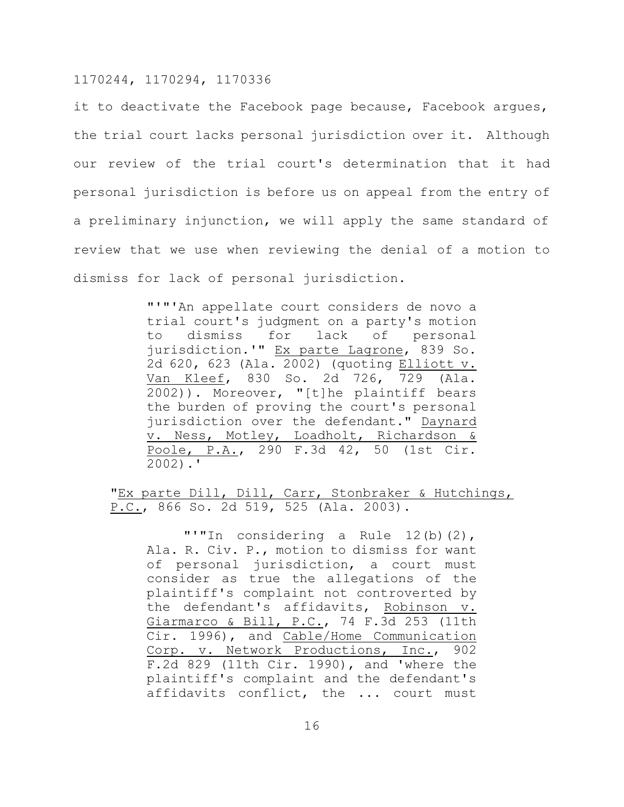it to deactivate the Facebook page because, Facebook argues, the trial court lacks personal jurisdiction over it. Although our review of the trial court's determination that it had personal jurisdiction is before us on appeal from the entry of a preliminary injunction, we will apply the same standard of review that we use when reviewing the denial of a motion to dismiss for lack of personal jurisdiction.

> "'"'An appellate court considers de novo a trial court's judgment on a party's motion to dismiss for lack of personal jurisdiction.'" Ex parte Lagrone, 839 So. 2d 620, 623 (Ala. 2002) (quoting Elliott v. Van Kleef, 830 So. 2d 726, 729 (Ala. 2002)). Moreover, "[t]he plaintiff bears the burden of proving the court's personal jurisdiction over the defendant." Daynard v. Ness, Motley, Loadholt, Richardson & Poole, P.A., 290 F.3d 42, 50 (1st Cir. 2002).'

"Ex parte Dill, Dill, Carr, Stonbraker & Hutchings, P.C., 866 So. 2d 519, 525 (Ala. 2003).

"'"In considering a Rule 12(b)(2), Ala. R. Civ. P., motion to dismiss for want of personal jurisdiction, a court must consider as true the allegations of the plaintiff's complaint not controverted by the defendant's affidavits, Robinson v. Giarmarco & Bill, P.C., 74 F.3d 253 (11th Cir. 1996), and Cable/Home Communication Corp. v. Network Productions, Inc., 902 F.2d 829 (11th Cir. 1990), and 'where the plaintiff's complaint and the defendant's affidavits conflict, the ... court must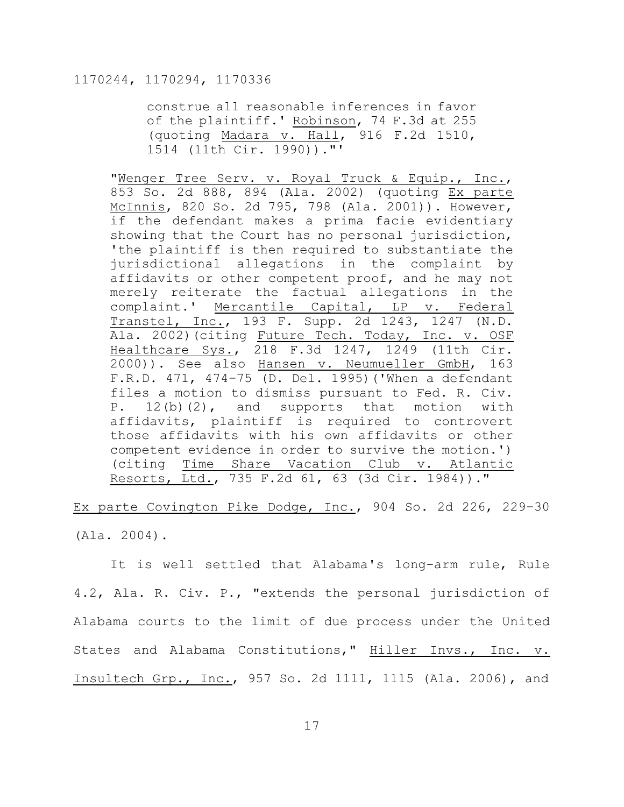construe all reasonable inferences in favor of the plaintiff.' Robinson, 74 F.3d at 255 (quoting Madara v. Hall, 916 F.2d 1510, 1514 (11th Cir. 1990))."'

"Wenger Tree Serv. v. Royal Truck & Equip., Inc., 853 So. 2d 888, 894 (Ala. 2002) (quoting Ex parte McInnis, 820 So. 2d 795, 798 (Ala. 2001)). However, if the defendant makes a prima facie evidentiary showing that the Court has no personal jurisdiction, 'the plaintiff is then required to substantiate the jurisdictional allegations in the complaint by affidavits or other competent proof, and he may not merely reiterate the factual allegations in the complaint.' Mercantile Capital, LP v. Federal Transtel, Inc., 193 F. Supp. 2d 1243, 1247 (N.D. Ala. 2002) (citing Future Tech. Today, Inc. v. OSF Healthcare Sys., 218 F.3d 1247, 1249 (11th Cir. 2000)). See also Hansen v. Neumueller GmbH, 163 F.R.D. 471, 474–75 (D. Del. 1995)('When a defendant files a motion to dismiss pursuant to Fed. R. Civ. P. 12(b)(2), and supports that motion with affidavits, plaintiff is required to controvert those affidavits with his own affidavits or other competent evidence in order to survive the motion.') (citing Time Share Vacation Club v. Atlantic Resorts, Ltd., 735 F.2d 61, 63 (3d Cir. 1984))."

Ex parte Covington Pike Dodge, Inc., 904 So. 2d 226, 229–30 (Ala. 2004).

It is well settled that Alabama's long-arm rule, Rule 4.2, Ala. R. Civ. P., "extends the personal jurisdiction of Alabama courts to the limit of due process under the United States and Alabama Constitutions," Hiller Invs., Inc. v. Insultech Grp., Inc., 957 So. 2d 1111, 1115 (Ala. 2006), and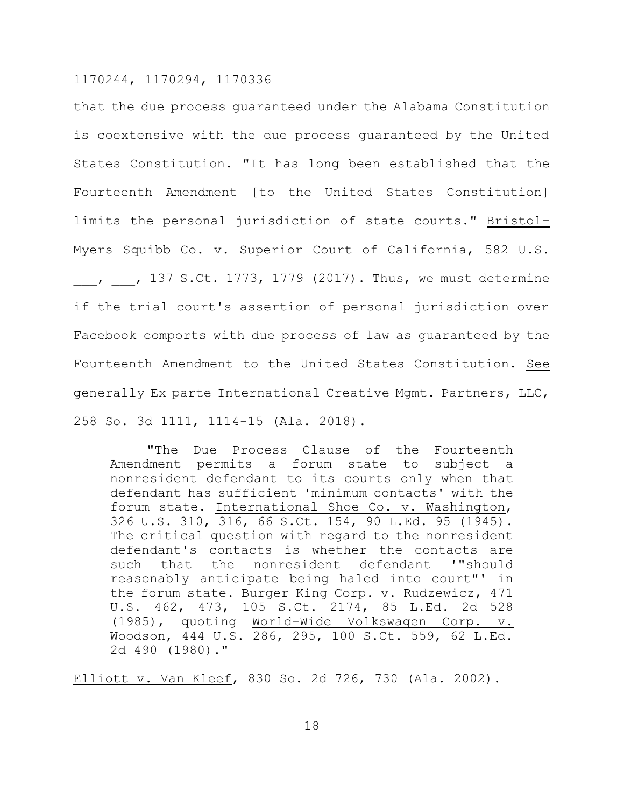that the due process guaranteed under the Alabama Constitution is coextensive with the due process guaranteed by the United States Constitution. "It has long been established that the Fourteenth Amendment [to the United States Constitution] limits the personal jurisdiction of state courts." Bristol-Myers Squibb Co. v. Superior Court of California, 582 U.S.  $, \,$ , 137 S.Ct. 1773, 1779 (2017). Thus, we must determine if the trial court's assertion of personal jurisdiction over Facebook comports with due process of law as guaranteed by the Fourteenth Amendment to the United States Constitution. See generally Ex parte International Creative Mgmt. Partners, LLC, 258 So. 3d 1111, 1114-15 (Ala. 2018).

"The Due Process Clause of the Fourteenth Amendment permits a forum state to subject a nonresident defendant to its courts only when that defendant has sufficient 'minimum contacts' with the forum state. International Shoe Co. v. Washington, 326 U.S. 310, 316, 66 S.Ct. 154, 90 L.Ed. 95 (1945). The critical question with regard to the nonresident defendant's contacts is whether the contacts are such that the nonresident defendant '"should reasonably anticipate being haled into court"' in the forum state. Burger King Corp. v. Rudzewicz, 471 U.S. 462, 473, 105 S.Ct. 2174, 85 L.Ed. 2d 528 (1985), quoting World–Wide Volkswagen Corp. v. Woodson, 444 U.S. 286, 295, 100 S.Ct. 559, 62 L.Ed. 2d 490 (1980)."

Elliott v. Van Kleef, 830 So. 2d 726, 730 (Ala. 2002).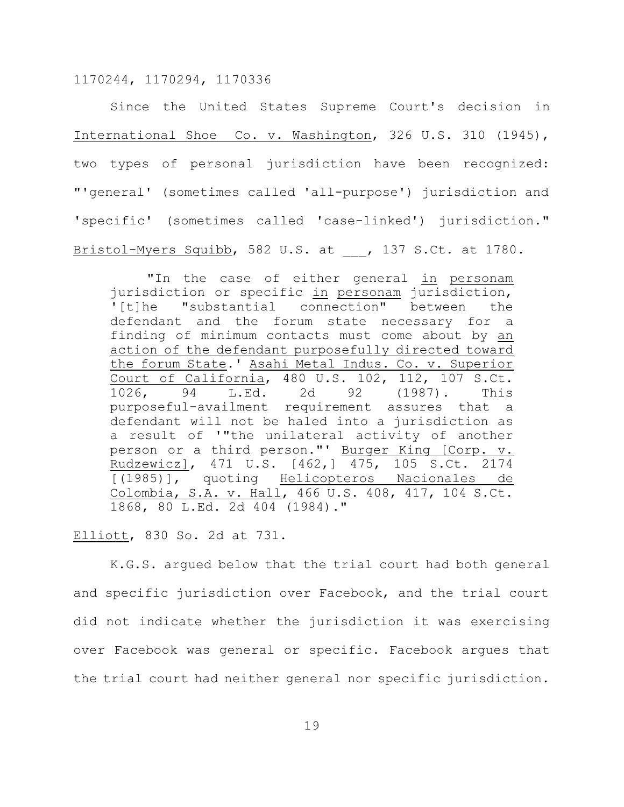Since the United States Supreme Court's decision in International Shoe Co. v. Washington, 326 U.S. 310 (1945), two types of personal jurisdiction have been recognized: "'general' (sometimes called 'all-purpose') jurisdiction and 'specific' (sometimes called 'case-linked') jurisdiction." Bristol-Myers Squibb, 582 U.S. at , 137 S.Ct. at 1780.

"In the case of either general in personam jurisdiction or specific in personam jurisdiction, '[t]he "substantial connection" between the defendant and the forum state necessary for a finding of minimum contacts must come about by an action of the defendant purposefully directed toward the forum State.' Asahi Metal Indus. Co. v. Superior Court of California, 480 U.S. 102, 112, 107 S.Ct. 1026, 94 L.Ed. 2d 92 (1987). This purposeful-availment requirement assures that a defendant will not be haled into a jurisdiction as a result of '"the unilateral activity of another person or a third person."' Burger King [Corp. v. Rudzewicz], 471 U.S. [462,] 475, 105 S.Ct. 2174 [(1985)], quoting Helicopteros Nacionales de Colombia, S.A. v. Hall, 466 U.S. 408, 417, 104 S.Ct. 1868, 80 L.Ed. 2d 404 (1984)."

#### Elliott, 830 So. 2d at 731.

K.G.S. argued below that the trial court had both general and specific jurisdiction over Facebook, and the trial court did not indicate whether the jurisdiction it was exercising over Facebook was general or specific. Facebook argues that the trial court had neither general nor specific jurisdiction.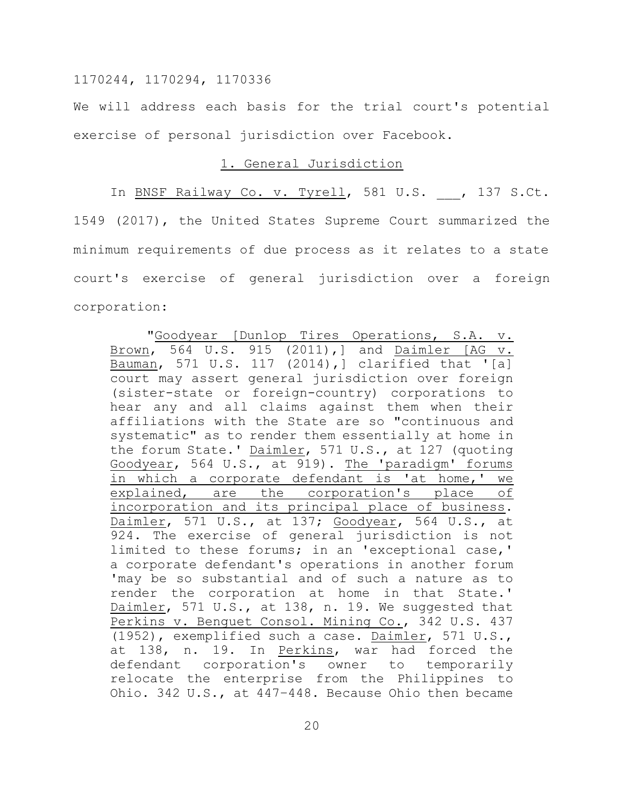We will address each basis for the trial court's potential exercise of personal jurisdiction over Facebook.

#### 1. General Jurisdiction

In BNSF Railway Co. v. Tyrell, 581 U.S. , 137 S.Ct. 1549 (2017), the United States Supreme Court summarized the minimum requirements of due process as it relates to a state court's exercise of general jurisdiction over a foreign corporation:

"Goodyear [Dunlop Tires Operations, S.A. v. Brown, 564 U.S. 915 (2011),] and Daimler [AG v. Bauman, 571 U.S. 117 (2014),] clarified that '[a] court may assert general jurisdiction over foreign (sister-state or foreign-country) corporations to hear any and all claims against them when their affiliations with the State are so "continuous and systematic" as to render them essentially at home in the forum State.' Daimler, 571 U.S., at 127 (quoting Goodyear, 564 U.S., at 919). The 'paradigm' forums in which a corporate defendant is 'at home,' we explained, are the corporation's place of incorporation and its principal place of business. Daimler, 571 U.S., at 137; Goodyear, 564 U.S., at 924. The exercise of general jurisdiction is not limited to these forums; in an 'exceptional case,' a corporate defendant's operations in another forum 'may be so substantial and of such a nature as to render the corporation at home in that State.' Daimler, 571 U.S., at 138, n. 19. We suggested that Perkins v. Benquet Consol. Mining Co., 342 U.S. 437 (1952), exemplified such a case. Daimler, 571 U.S., at 138, n. 19. In Perkins, war had forced the defendant corporation's owner to temporarily relocate the enterprise from the Philippines to Ohio. 342 U.S., at 447–448. Because Ohio then became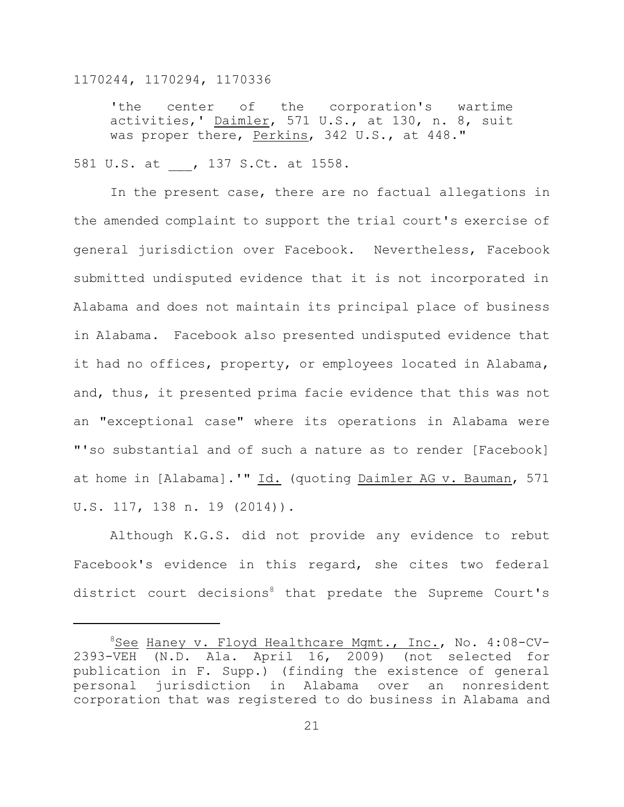'the center of the corporation's wartime activities,' Daimler, 571 U.S., at 130, n. 8, suit was proper there, Perkins, 342 U.S., at 448."

#### 581 U.S. at , 137 S.Ct. at 1558.

In the present case, there are no factual allegations in the amended complaint to support the trial court's exercise of general jurisdiction over Facebook. Nevertheless, Facebook submitted undisputed evidence that it is not incorporated in Alabama and does not maintain its principal place of business in Alabama. Facebook also presented undisputed evidence that it had no offices, property, or employees located in Alabama, and, thus, it presented prima facie evidence that this was not an "exceptional case" where its operations in Alabama were "'so substantial and of such a nature as to render [Facebook] at home in [Alabama].'" Id. (quoting Daimler AG v. Bauman, 571 U.S. 117, 138 n. 19 (2014)).

Although K.G.S. did not provide any evidence to rebut Facebook's evidence in this regard, she cites two federal district court decisions<sup>8</sup> that predate the Supreme Court's

<sup>8</sup>See Haney v. Floyd Healthcare Mgmt., Inc., No. 4:08-CV-2393-VEH (N.D. Ala. April 16, 2009) (not selected for publication in F. Supp.) (finding the existence of general personal jurisdiction in Alabama over an nonresident corporation that was registered to do business in Alabama and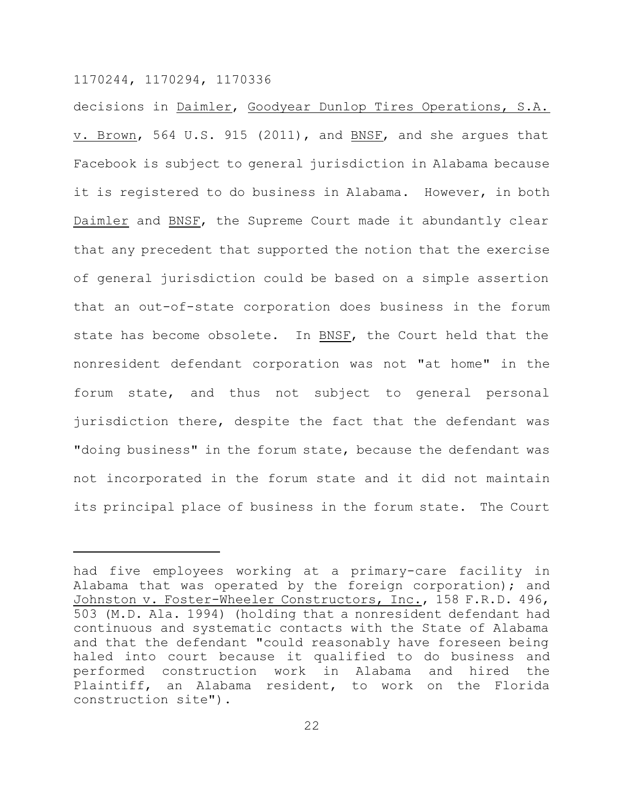decisions in Daimler, Goodyear Dunlop Tires Operations, S.A. v. Brown, 564 U.S. 915 (2011), and BNSF, and she arques that Facebook is subject to general jurisdiction in Alabama because it is registered to do business in Alabama. However, in both Daimler and BNSF, the Supreme Court made it abundantly clear that any precedent that supported the notion that the exercise of general jurisdiction could be based on a simple assertion that an out-of-state corporation does business in the forum state has become obsolete. In BNSF, the Court held that the nonresident defendant corporation was not "at home" in the forum state, and thus not subject to general personal jurisdiction there, despite the fact that the defendant was "doing business" in the forum state, because the defendant was not incorporated in the forum state and it did not maintain its principal place of business in the forum state. The Court

had five employees working at a primary-care facility in Alabama that was operated by the foreign corporation); and Johnston v. Foster-Wheeler Constructors, Inc., 158 F.R.D. 496, 503 (M.D. Ala. 1994) (holding that a nonresident defendant had continuous and systematic contacts with the State of Alabama and that the defendant "could reasonably have foreseen being haled into court because it qualified to do business and performed construction work in Alabama and hired the Plaintiff, an Alabama resident, to work on the Florida construction site").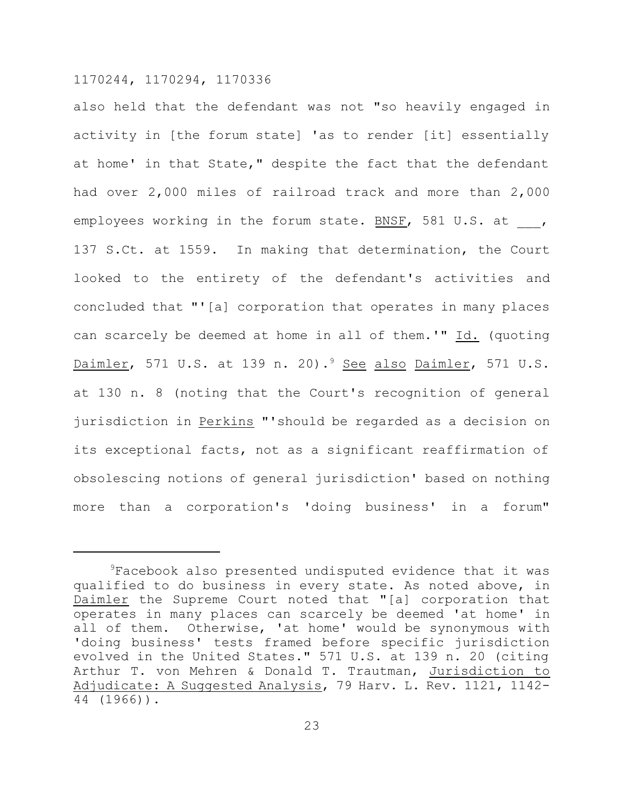also held that the defendant was not "so heavily engaged in activity in [the forum state] 'as to render [it] essentially at home' in that State," despite the fact that the defendant had over 2,000 miles of railroad track and more than 2,000 employees working in the forum state. BNSF, 581 U.S. at 137 S.Ct. at 1559. In making that determination, the Court looked to the entirety of the defendant's activities and concluded that "'[a] corporation that operates in many places can scarcely be deemed at home in all of them.'" Id. (quoting Daimler, 571 U.S. at 139 n. 20).<sup>9</sup> See also Daimler, 571 U.S. at 130 n. 8 (noting that the Court's recognition of general jurisdiction in Perkins "'should be regarded as a decision on its exceptional facts, not as a significant reaffirmation of obsolescing notions of general jurisdiction' based on nothing more than a corporation's 'doing business' in a forum"

<sup>&</sup>lt;sup>9</sup>Facebook also presented undisputed evidence that it was qualified to do business in every state. As noted above, in Daimler the Supreme Court noted that "[a] corporation that operates in many places can scarcely be deemed 'at home' in all of them. Otherwise, 'at home' would be synonymous with 'doing business' tests framed before specific jurisdiction evolved in the United States." 571 U.S. at 139 n. 20 (citing Arthur T. von Mehren & Donald T. Trautman, Jurisdiction to Adjudicate: A Suggested Analysis, 79 Harv. L. Rev. 1121, 1142- 44 (1966)).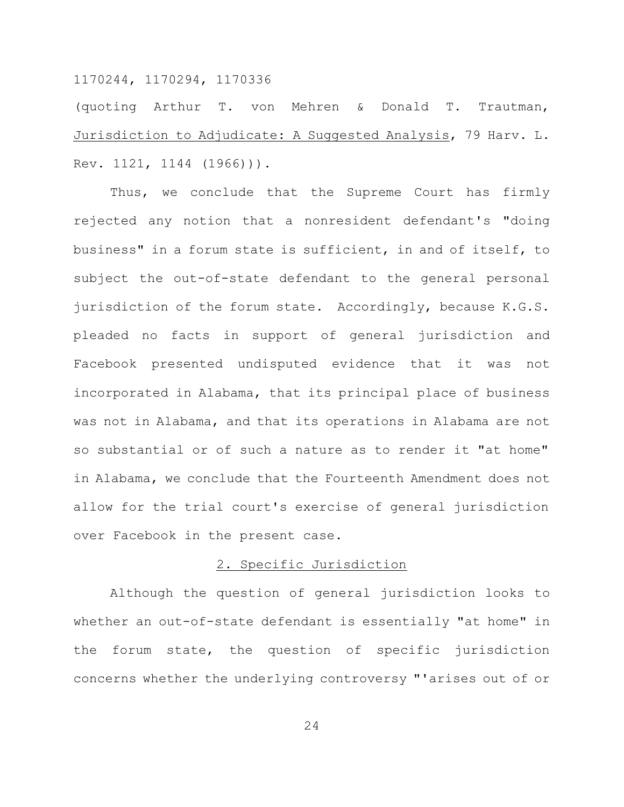(quoting Arthur T. von Mehren & Donald T. Trautman, Jurisdiction to Adjudicate: A Suggested Analysis, 79 Harv. L. Rev. 1121, 1144 (1966))).

Thus, we conclude that the Supreme Court has firmly rejected any notion that a nonresident defendant's "doing business" in a forum state is sufficient, in and of itself, to subject the out-of-state defendant to the general personal jurisdiction of the forum state. Accordingly, because K.G.S. pleaded no facts in support of general jurisdiction and Facebook presented undisputed evidence that it was not incorporated in Alabama, that its principal place of business was not in Alabama, and that its operations in Alabama are not so substantial or of such a nature as to render it "at home" in Alabama, we conclude that the Fourteenth Amendment does not allow for the trial court's exercise of general jurisdiction over Facebook in the present case.

#### 2. Specific Jurisdiction

Although the question of general jurisdiction looks to whether an out-of-state defendant is essentially "at home" in the forum state, the question of specific jurisdiction concerns whether the underlying controversy "'arises out of or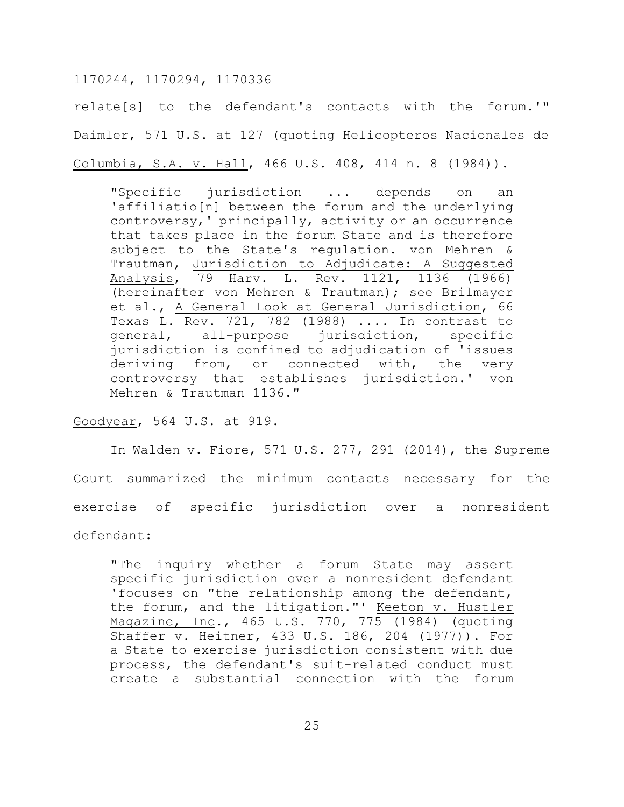relate[s] to the defendant's contacts with the forum.'" Daimler, 571 U.S. at 127 (quoting Helicopteros Nacionales de Columbia, S.A. v. Hall, 466 U.S. 408, 414 n. 8 (1984)).

"Specific jurisdiction ... depends on an 'affiliatio[n] between the forum and the underlying controversy,' principally, activity or an occurrence that takes place in the forum State and is therefore subject to the State's regulation. von Mehren & Trautman, Jurisdiction to Adjudicate: A Suggested Analysis, 79 Harv. L. Rev. 1121, 1136 (1966) (hereinafter von Mehren & Trautman); see Brilmayer et al., <u>A General Look at General Jurisdiction</u>, 66 Texas L. Rev. 721, 782 (1988) .... In contrast to general, all-purpose jurisdiction, specific jurisdiction is confined to adjudication of 'issues deriving from, or connected with, the very controversy that establishes jurisdiction.' von Mehren & Trautman 1136."

Goodyear, 564 U.S. at 919.

In Walden v. Fiore, 571 U.S. 277, 291 (2014), the Supreme Court summarized the minimum contacts necessary for the exercise of specific jurisdiction over a nonresident defendant:

"The inquiry whether a forum State may assert specific jurisdiction over a nonresident defendant 'focuses on "the relationship among the defendant, the forum, and the litigation."' Keeton v. Hustler Magazine, Inc., 465 U.S. 770, 775 (1984) (quoting Shaffer v. Heitner, 433 U.S. 186, 204 (1977)). For a State to exercise jurisdiction consistent with due process, the defendant's suit-related conduct must create a substantial connection with the forum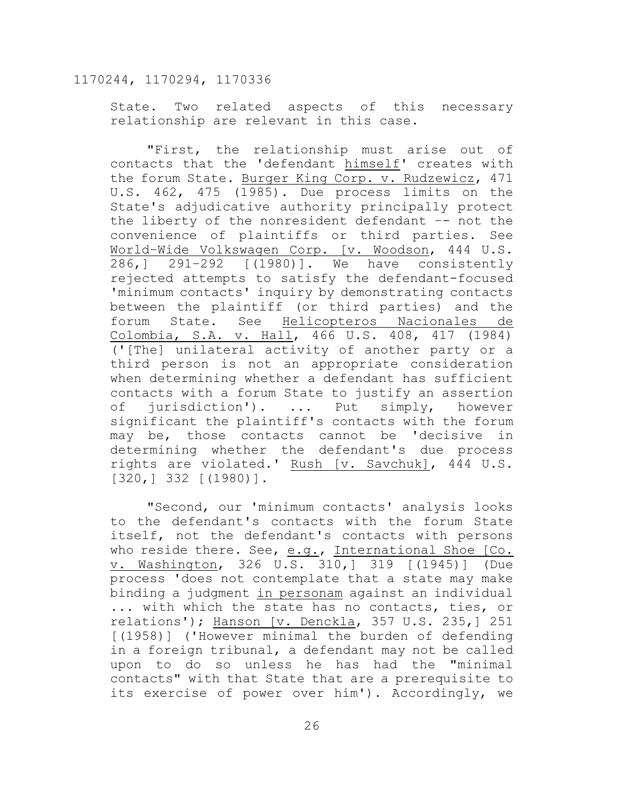State. Two related aspects of this necessary relationship are relevant in this case.

"First, the relationship must arise out of contacts that the 'defendant himself' creates with the forum State. Burger King Corp. v. Rudzewicz, 471 U.S. 462, 475 (1985). Due process limits on the State's adjudicative authority principally protect the liberty of the nonresident defendant –- not the convenience of plaintiffs or third parties. See World–Wide Volkswagen Corp. [v. Woodson, 444 U.S. 286,] 291–292 [(1980)]. We have consistently rejected attempts to satisfy the defendant-focused 'minimum contacts' inquiry by demonstrating contacts between the plaintiff (or third parties) and the forum State. See Helicopteros Nacionales de Colombia, S.A. v. Hall, 466 U.S. 408, 417 (1984) ('[The] unilateral activity of another party or a third person is not an appropriate consideration when determining whether a defendant has sufficient contacts with a forum State to justify an assertion of jurisdiction'). ... Put simply, however significant the plaintiff's contacts with the forum may be, those contacts cannot be 'decisive in determining whether the defendant's due process rights are violated.' Rush [v. Savchuk], 444 U.S. [320,] 332 [(1980)].

"Second, our 'minimum contacts' analysis looks to the defendant's contacts with the forum State itself, not the defendant's contacts with persons who reside there. See, e.g., International Shoe [Co. v. Washington, 326 U.S. 310,] 319 [(1945)] (Due process 'does not contemplate that a state may make binding a judgment in personam against an individual ... with which the state has no contacts, ties, or relations'); Hanson [v. Denckla, 357 U.S. 235,] 251 [(1958)] ('However minimal the burden of defending in a foreign tribunal, a defendant may not be called upon to do so unless he has had the "minimal contacts" with that State that are a prerequisite to its exercise of power over him'). Accordingly, we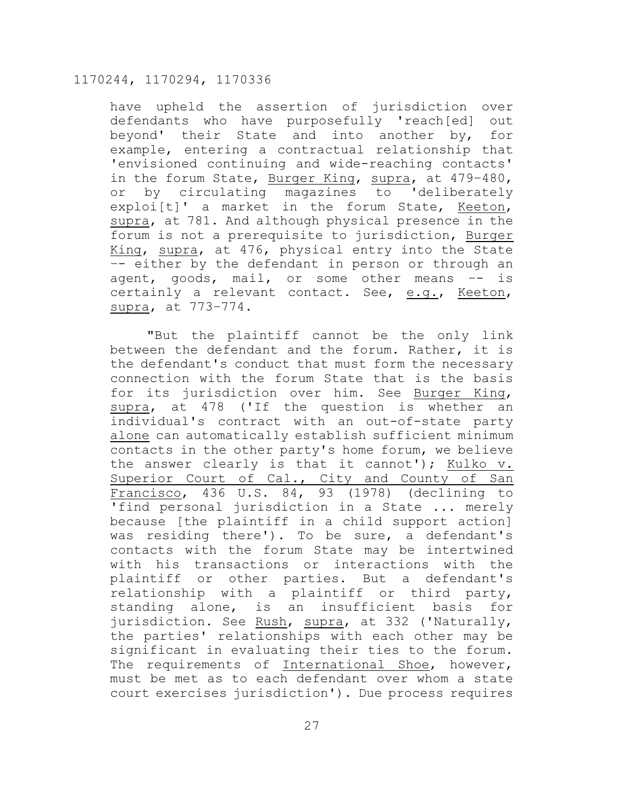have upheld the assertion of jurisdiction over defendants who have purposefully 'reach[ed] out beyond' their State and into another by, for example, entering a contractual relationship that 'envisioned continuing and wide-reaching contacts' in the forum State, Burger King, supra, at 479-480, or by circulating magazines to 'deliberately exploi[t]' a market in the forum State, Keeton, supra, at 781. And although physical presence in the forum is not a prerequisite to jurisdiction, Burger King, supra, at 476, physical entry into the State –- either by the defendant in person or through an agent, goods, mail, or some other means –- is certainly a relevant contact. See, e.g., Keeton, supra, at 773–774.

"But the plaintiff cannot be the only link between the defendant and the forum. Rather, it is the defendant's conduct that must form the necessary connection with the forum State that is the basis for its jurisdiction over him. See Burger King, supra, at 478 ('If the question is whether an individual's contract with an out-of-state party alone can automatically establish sufficient minimum contacts in the other party's home forum, we believe the answer clearly is that it cannot'); Kulko v. Superior Court of Cal., City and County of San Francisco, 436 U.S. 84, 93 (1978) (declining to 'find personal jurisdiction in a State ... merely because [the plaintiff in a child support action] was residing there'). To be sure, a defendant's contacts with the forum State may be intertwined with his transactions or interactions with the plaintiff or other parties. But a defendant's relationship with a plaintiff or third party, standing alone, is an insufficient basis for jurisdiction. See Rush, supra, at 332 ('Naturally, the parties' relationships with each other may be significant in evaluating their ties to the forum. The requirements of International Shoe, however, must be met as to each defendant over whom a state court exercises jurisdiction'). Due process requires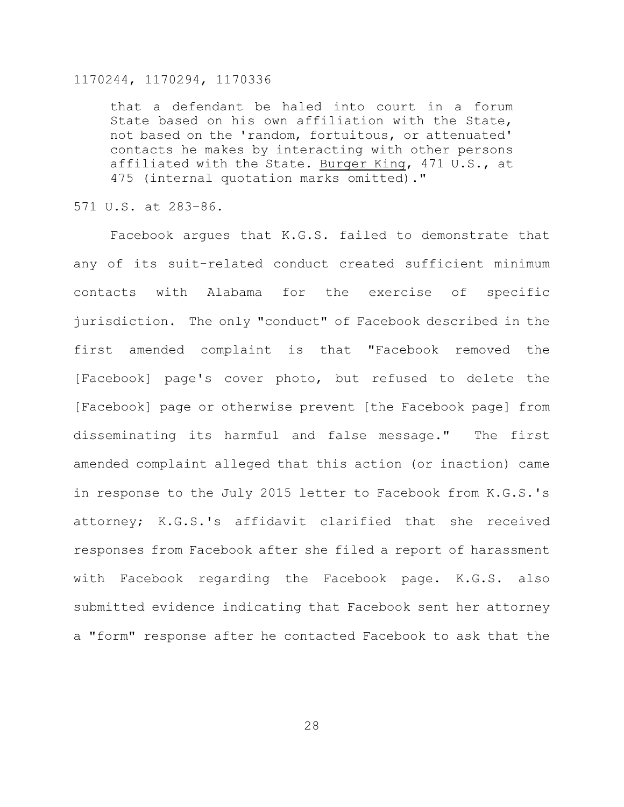that a defendant be haled into court in a forum State based on his own affiliation with the State, not based on the 'random, fortuitous, or attenuated' contacts he makes by interacting with other persons affiliated with the State. Burger King, 471 U.S., at 475 (internal quotation marks omitted)."

571 U.S. at 283–86.

Facebook argues that K.G.S. failed to demonstrate that any of its suit-related conduct created sufficient minimum contacts with Alabama for the exercise of specific jurisdiction. The only "conduct" of Facebook described in the first amended complaint is that "Facebook removed the [Facebook] page's cover photo, but refused to delete the [Facebook] page or otherwise prevent [the Facebook page] from disseminating its harmful and false message." The first amended complaint alleged that this action (or inaction) came in response to the July 2015 letter to Facebook from K.G.S.'s attorney; K.G.S.'s affidavit clarified that she received responses from Facebook after she filed a report of harassment with Facebook regarding the Facebook page. K.G.S. also submitted evidence indicating that Facebook sent her attorney a "form" response after he contacted Facebook to ask that the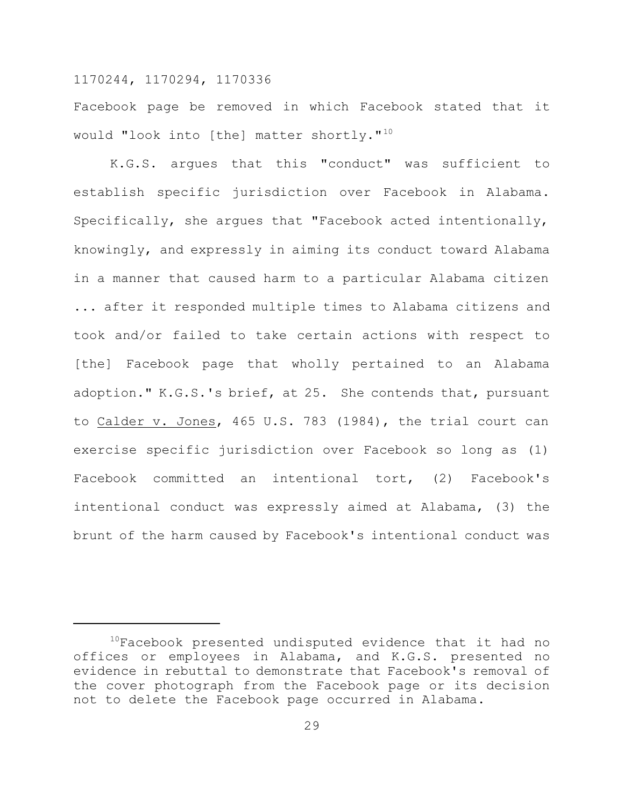Facebook page be removed in which Facebook stated that it would "look into [the] matter shortly."<sup>10</sup>

K.G.S. argues that this "conduct" was sufficient to establish specific jurisdiction over Facebook in Alabama. Specifically, she argues that "Facebook acted intentionally, knowingly, and expressly in aiming its conduct toward Alabama in a manner that caused harm to a particular Alabama citizen ... after it responded multiple times to Alabama citizens and took and/or failed to take certain actions with respect to [the] Facebook page that wholly pertained to an Alabama adoption." K.G.S.'s brief, at 25. She contends that, pursuant to Calder v. Jones, 465 U.S. 783 (1984), the trial court can exercise specific jurisdiction over Facebook so long as (1) Facebook committed an intentional tort, (2) Facebook's intentional conduct was expressly aimed at Alabama, (3) the brunt of the harm caused by Facebook's intentional conduct was

<sup>&</sup>lt;sup>10</sup>Facebook presented undisputed evidence that it had no offices or employees in Alabama, and K.G.S. presented no evidence in rebuttal to demonstrate that Facebook's removal of the cover photograph from the Facebook page or its decision not to delete the Facebook page occurred in Alabama.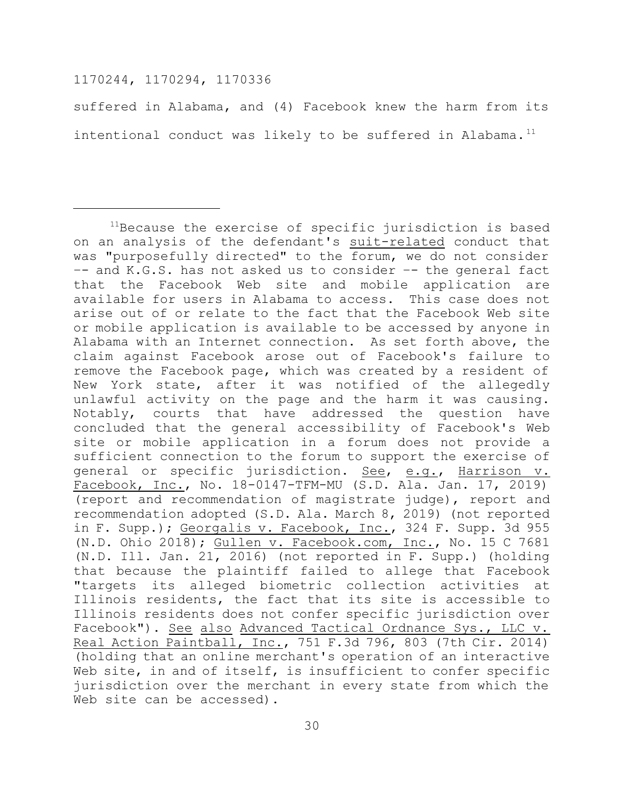suffered in Alabama, and (4) Facebook knew the harm from its intentional conduct was likely to be suffered in Alabama.<sup>11</sup>

<sup>&</sup>lt;sup>11</sup>Because the exercise of specific jurisdiction is based on an analysis of the defendant's suit-related conduct that was "purposefully directed" to the forum, we do not consider –- and K.G.S. has not asked us to consider –- the general fact that the Facebook Web site and mobile application are available for users in Alabama to access. This case does not arise out of or relate to the fact that the Facebook Web site or mobile application is available to be accessed by anyone in Alabama with an Internet connection. As set forth above, the claim against Facebook arose out of Facebook's failure to remove the Facebook page, which was created by a resident of New York state, after it was notified of the allegedly unlawful activity on the page and the harm it was causing. Notably, courts that have addressed the question have concluded that the general accessibility of Facebook's Web site or mobile application in a forum does not provide a sufficient connection to the forum to support the exercise of general or specific jurisdiction. See, e.g., Harrison v. Facebook, Inc., No. 18-0147-TFM-MU (S.D. Ala. Jan. 17, 2019) (report and recommendation of magistrate judge), report and recommendation adopted (S.D. Ala. March 8, 2019) (not reported in F. Supp.); Georgalis v. Facebook, Inc., 324 F. Supp. 3d 955 (N.D. Ohio 2018); Gullen v. Facebook.com, Inc., No. 15 C 7681 (N.D. Ill. Jan. 21, 2016) (not reported in F. Supp.) (holding that because the plaintiff failed to allege that Facebook "targets its alleged biometric collection activities at Illinois residents, the fact that its site is accessible to Illinois residents does not confer specific jurisdiction over Facebook"). See also Advanced Tactical Ordnance Sys., LLC v. Real Action Paintball, Inc., 751 F.3d 796, 803 (7th Cir. 2014) (holding that an online merchant's operation of an interactive Web site, in and of itself, is insufficient to confer specific jurisdiction over the merchant in every state from which the Web site can be accessed).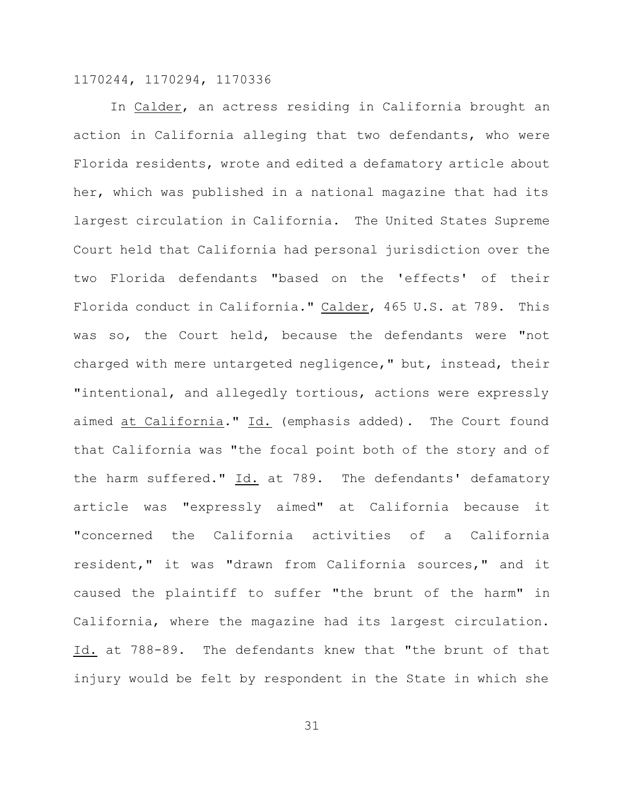In Calder, an actress residing in California brought an action in California alleging that two defendants, who were Florida residents, wrote and edited a defamatory article about her, which was published in a national magazine that had its largest circulation in California. The United States Supreme Court held that California had personal jurisdiction over the two Florida defendants "based on the 'effects' of their Florida conduct in California." Calder, 465 U.S. at 789. This was so, the Court held, because the defendants were "not charged with mere untargeted negligence," but, instead, their "intentional, and allegedly tortious, actions were expressly aimed at California." Id. (emphasis added). The Court found that California was "the focal point both of the story and of the harm suffered." Id. at 789. The defendants' defamatory article was "expressly aimed" at California because it "concerned the California activities of a California resident," it was "drawn from California sources," and it caused the plaintiff to suffer "the brunt of the harm" in California, where the magazine had its largest circulation. Id. at 788-89. The defendants knew that "the brunt of that injury would be felt by respondent in the State in which she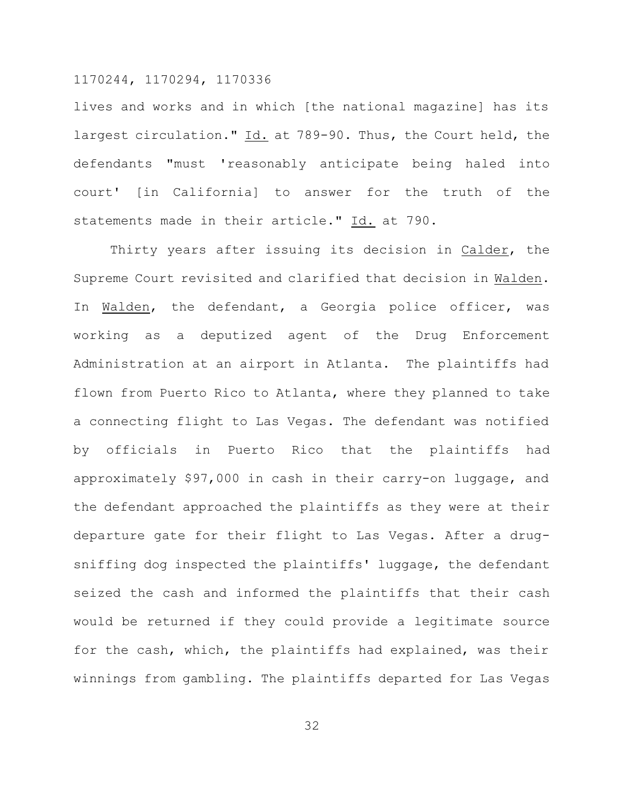lives and works and in which [the national magazine] has its largest circulation." Id. at 789-90. Thus, the Court held, the defendants "must 'reasonably anticipate being haled into court' [in California] to answer for the truth of the statements made in their article." Id. at 790.

Thirty years after issuing its decision in Calder, the Supreme Court revisited and clarified that decision in Walden. In Walden, the defendant, a Georgia police officer, was working as a deputized agent of the Drug Enforcement Administration at an airport in Atlanta. The plaintiffs had flown from Puerto Rico to Atlanta, where they planned to take a connecting flight to Las Vegas. The defendant was notified by officials in Puerto Rico that the plaintiffs had approximately \$97,000 in cash in their carry-on luggage, and the defendant approached the plaintiffs as they were at their departure gate for their flight to Las Vegas. After a drugsniffing dog inspected the plaintiffs' luggage, the defendant seized the cash and informed the plaintiffs that their cash would be returned if they could provide a legitimate source for the cash, which, the plaintiffs had explained, was their winnings from gambling. The plaintiffs departed for Las Vegas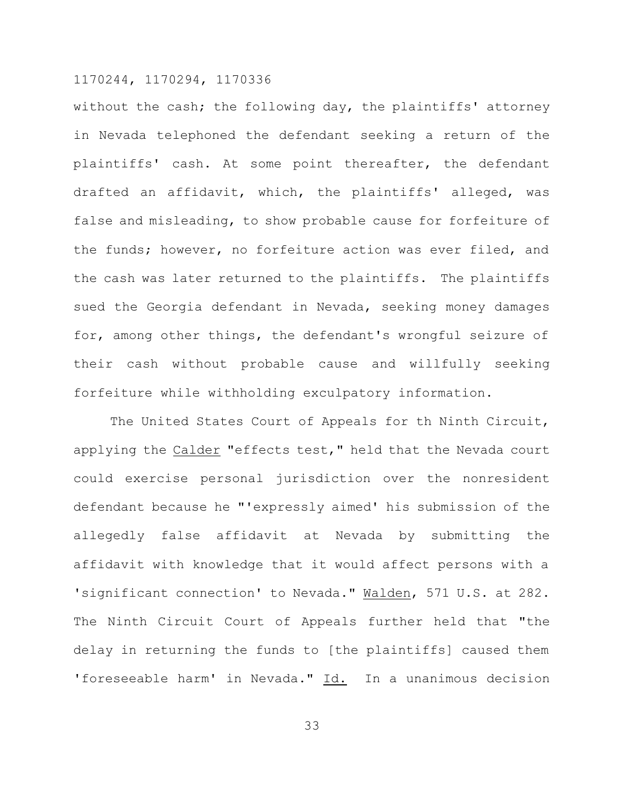without the cash; the following day, the plaintiffs' attorney in Nevada telephoned the defendant seeking a return of the plaintiffs' cash. At some point thereafter, the defendant drafted an affidavit, which, the plaintiffs' alleged, was false and misleading, to show probable cause for forfeiture of the funds; however, no forfeiture action was ever filed, and the cash was later returned to the plaintiffs. The plaintiffs sued the Georgia defendant in Nevada, seeking money damages for, among other things, the defendant's wrongful seizure of their cash without probable cause and willfully seeking forfeiture while withholding exculpatory information.

The United States Court of Appeals for th Ninth Circuit, applying the Calder "effects test," held that the Nevada court could exercise personal jurisdiction over the nonresident defendant because he "'expressly aimed' his submission of the allegedly false affidavit at Nevada by submitting the affidavit with knowledge that it would affect persons with a 'significant connection' to Nevada." Walden, 571 U.S. at 282. The Ninth Circuit Court of Appeals further held that "the delay in returning the funds to [the plaintiffs] caused them 'foreseeable harm' in Nevada." Id. In a unanimous decision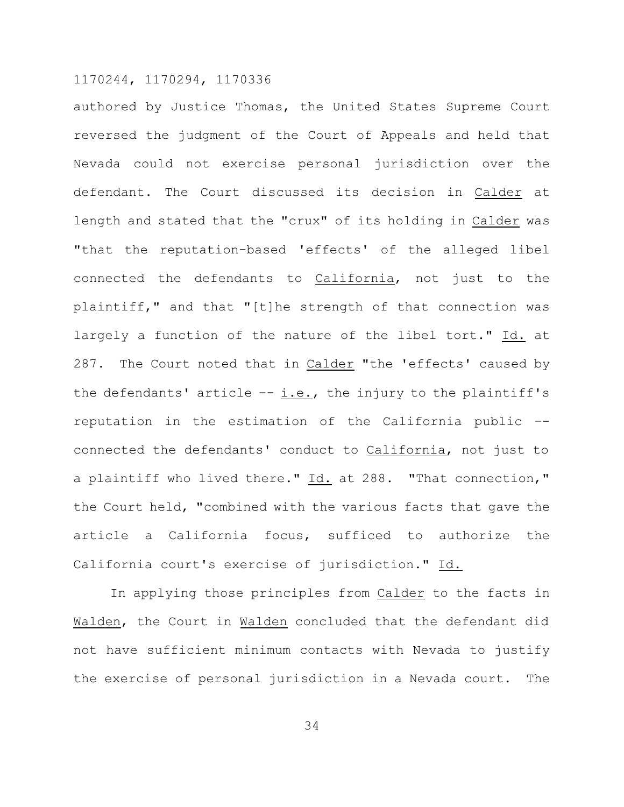authored by Justice Thomas, the United States Supreme Court reversed the judgment of the Court of Appeals and held that Nevada could not exercise personal jurisdiction over the defendant. The Court discussed its decision in Calder at length and stated that the "crux" of its holding in Calder was "that the reputation-based 'effects' of the alleged libel connected the defendants to California, not just to the plaintiff," and that "[t]he strength of that connection was largely a function of the nature of the libel tort." Id. at 287. The Court noted that in Calder "the 'effects' caused by the defendants' article  $-$ - i.e., the injury to the plaintiff's reputation in the estimation of the California public – connected the defendants' conduct to California, not just to a plaintiff who lived there." Id. at 288. "That connection," the Court held, "combined with the various facts that gave the article a California focus, sufficed to authorize the California court's exercise of jurisdiction." Id.

In applying those principles from Calder to the facts in Walden, the Court in Walden concluded that the defendant did not have sufficient minimum contacts with Nevada to justify the exercise of personal jurisdiction in a Nevada court. The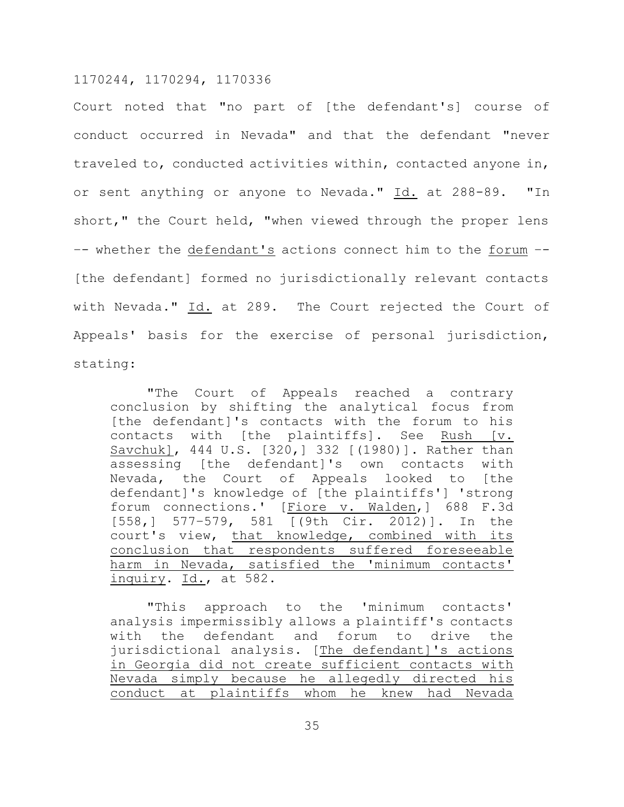Court noted that "no part of [the defendant's] course of conduct occurred in Nevada" and that the defendant "never traveled to, conducted activities within, contacted anyone in, or sent anything or anyone to Nevada." Id. at 288-89. "In short," the Court held, "when viewed through the proper lens –- whether the defendant's actions connect him to the forum –- [the defendant] formed no jurisdictionally relevant contacts with Nevada." Id. at 289. The Court rejected the Court of Appeals' basis for the exercise of personal jurisdiction, stating:

"The Court of Appeals reached a contrary conclusion by shifting the analytical focus from [the defendant]'s contacts with the forum to his contacts with [the plaintiffs]. See Rush [v. Savchuk], 444 U.S. [320,] 332 [(1980)]. Rather than assessing [the defendant]'s own contacts with Nevada, the Court of Appeals looked to [the defendant]'s knowledge of [the plaintiffs'] 'strong forum connections.' [Fiore v. Walden,] 688 F.3d [558,] 577–579, 581 [(9th Cir. 2012)]. In the court's view, that knowledge, combined with its conclusion that respondents suffered foreseeable harm in Nevada, satisfied the 'minimum contacts' inquiry. Id., at 582.

"This approach to the 'minimum contacts' analysis impermissibly allows a plaintiff's contacts with the defendant and forum to drive the jurisdictional analysis. [The defendant]'s actions in Georgia did not create sufficient contacts with Nevada simply because he allegedly directed his conduct at plaintiffs whom he knew had Nevada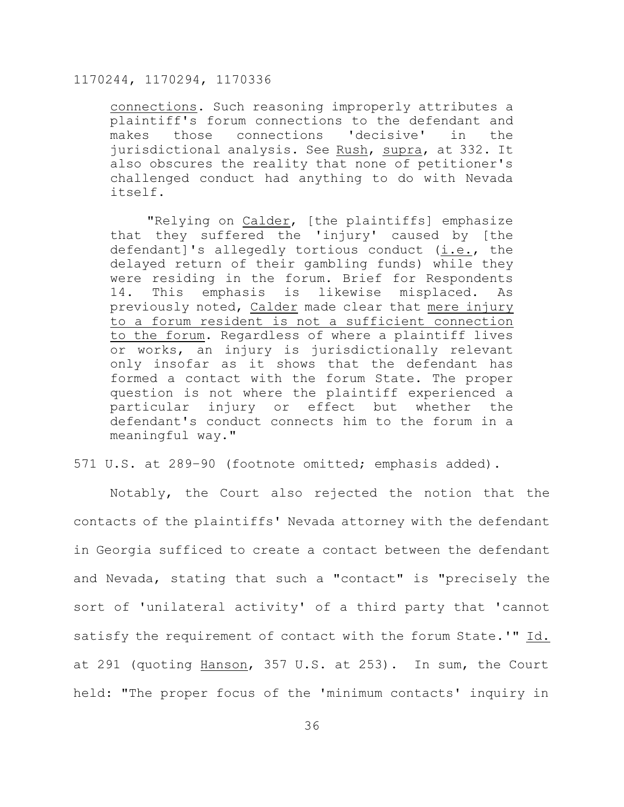connections. Such reasoning improperly attributes a plaintiff's forum connections to the defendant and makes those connections 'decisive' in the jurisdictional analysis. See Rush, supra, at 332. It also obscures the reality that none of petitioner's challenged conduct had anything to do with Nevada itself.

"Relying on Calder, [the plaintiffs] emphasize that they suffered the 'injury' caused by [the defendant]'s allegedly tortious conduct (i.e., the delayed return of their gambling funds) while they were residing in the forum. Brief for Respondents 14. This emphasis is likewise misplaced. As previously noted, Calder made clear that mere injury to a forum resident is not a sufficient connection to the forum. Regardless of where a plaintiff lives or works, an injury is jurisdictionally relevant only insofar as it shows that the defendant has formed a contact with the forum State. The proper question is not where the plaintiff experienced a particular injury or effect but whether the defendant's conduct connects him to the forum in a meaningful way."

## 571 U.S. at 289–90 (footnote omitted; emphasis added).

Notably, the Court also rejected the notion that the contacts of the plaintiffs' Nevada attorney with the defendant in Georgia sufficed to create a contact between the defendant and Nevada, stating that such a "contact" is "precisely the sort of 'unilateral activity' of a third party that 'cannot satisfy the requirement of contact with the forum State.'" Id. at 291 (quoting Hanson, 357 U.S. at 253). In sum, the Court held: "The proper focus of the 'minimum contacts' inquiry in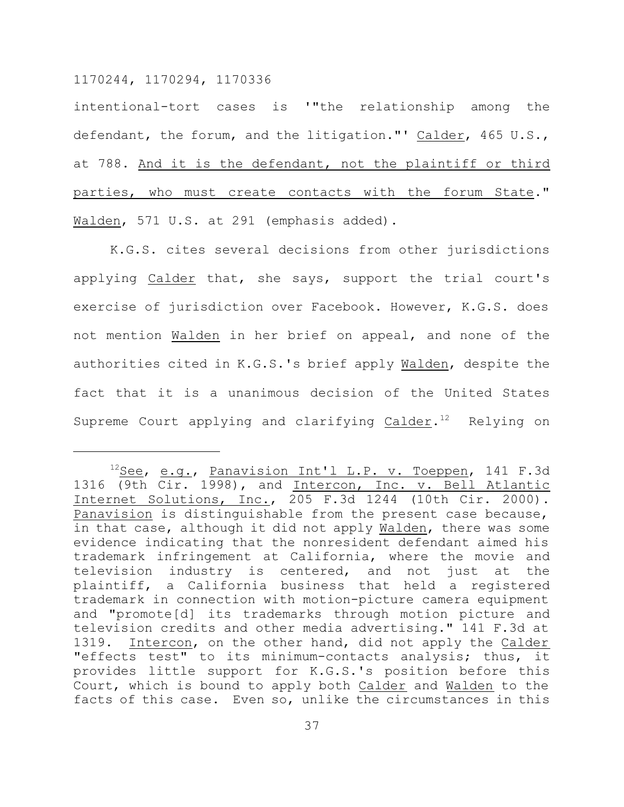intentional-tort cases is '"the relationship among the defendant, the forum, and the litigation."' Calder, 465 U.S., at 788. And it is the defendant, not the plaintiff or third parties, who must create contacts with the forum State." Walden, 571 U.S. at 291 (emphasis added).

K.G.S. cites several decisions from other jurisdictions applying Calder that, she says, support the trial court's exercise of jurisdiction over Facebook. However, K.G.S. does not mention Walden in her brief on appeal, and none of the authorities cited in K.G.S.'s brief apply Walden, despite the fact that it is a unanimous decision of the United States Supreme Court applying and clarifying Calder. $12$  Relying on

<sup>&</sup>lt;sup>12</sup>See, e.g., Panavision Int'l L.P. v. Toeppen, 141 F.3d 1316 (9th Cir. 1998), and Intercon, Inc. v. Bell Atlantic Internet Solutions, Inc., 205 F.3d 1244 (10th Cir. 2000). Panavision is distinguishable from the present case because, in that case, although it did not apply Walden, there was some evidence indicating that the nonresident defendant aimed his trademark infringement at California, where the movie and television industry is centered, and not just at the plaintiff, a California business that held a registered trademark in connection with motion-picture camera equipment and "promote[d] its trademarks through motion picture and television credits and other media advertising." 141 F.3d at 1319. Intercon, on the other hand, did not apply the Calder "effects test" to its minimum-contacts analysis; thus, it provides little support for K.G.S.'s position before this Court, which is bound to apply both Calder and Walden to the facts of this case. Even so, unlike the circumstances in this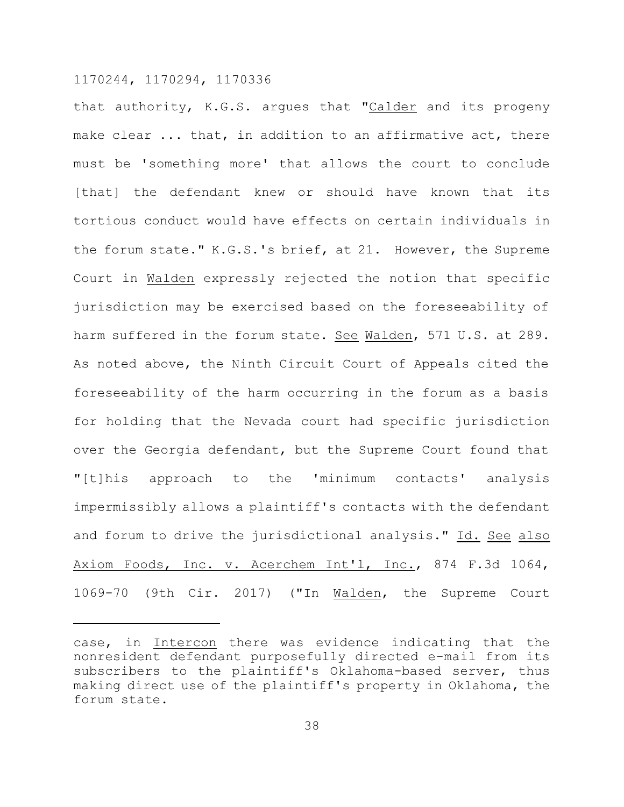that authority, K.G.S. argues that "Calder and its progeny make clear ... that, in addition to an affirmative act, there must be 'something more' that allows the court to conclude [that] the defendant knew or should have known that its tortious conduct would have effects on certain individuals in the forum state." K.G.S.'s brief, at 21. However, the Supreme Court in Walden expressly rejected the notion that specific jurisdiction may be exercised based on the foreseeability of harm suffered in the forum state. See Walden, 571 U.S. at 289. As noted above, the Ninth Circuit Court of Appeals cited the foreseeability of the harm occurring in the forum as a basis for holding that the Nevada court had specific jurisdiction over the Georgia defendant, but the Supreme Court found that "[t]his approach to the 'minimum contacts' analysis impermissibly allows a plaintiff's contacts with the defendant and forum to drive the jurisdictional analysis." Id. See also Axiom Foods, Inc. v. Acerchem Int'l, Inc., 874 F.3d 1064, 1069-70 (9th Cir. 2017) ("In Walden, the Supreme Court

case, in Intercon there was evidence indicating that the nonresident defendant purposefully directed e-mail from its subscribers to the plaintiff's Oklahoma-based server, thus making direct use of the plaintiff's property in Oklahoma, the forum state.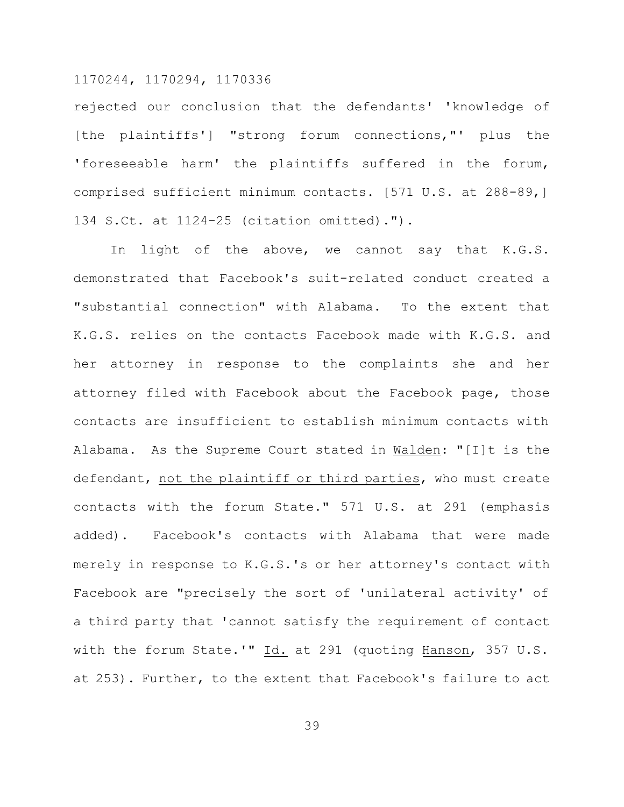rejected our conclusion that the defendants' 'knowledge of [the plaintiffs'] "strong forum connections,"' plus the 'foreseeable harm' the plaintiffs suffered in the forum, comprised sufficient minimum contacts. [571 U.S. at 288-89,] 134 S.Ct. at 1124-25 (citation omitted).").

In light of the above, we cannot say that K.G.S. demonstrated that Facebook's suit-related conduct created a "substantial connection" with Alabama. To the extent that K.G.S. relies on the contacts Facebook made with K.G.S. and her attorney in response to the complaints she and her attorney filed with Facebook about the Facebook page, those contacts are insufficient to establish minimum contacts with Alabama. As the Supreme Court stated in Walden: "[I]t is the defendant, not the plaintiff or third parties, who must create contacts with the forum State." 571 U.S. at 291 (emphasis added). Facebook's contacts with Alabama that were made merely in response to K.G.S.'s or her attorney's contact with Facebook are "precisely the sort of 'unilateral activity' of a third party that 'cannot satisfy the requirement of contact with the forum State.'" Id. at 291 (quoting Hanson, 357 U.S. at 253). Further, to the extent that Facebook's failure to act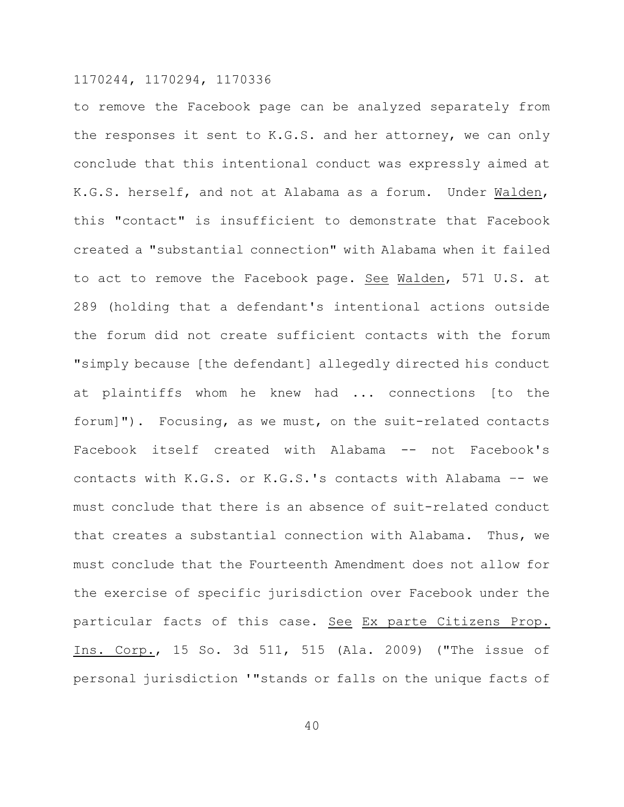to remove the Facebook page can be analyzed separately from the responses it sent to K.G.S. and her attorney, we can only conclude that this intentional conduct was expressly aimed at K.G.S. herself, and not at Alabama as a forum. Under Walden, this "contact" is insufficient to demonstrate that Facebook created a "substantial connection" with Alabama when it failed to act to remove the Facebook page. See Walden, 571 U.S. at 289 (holding that a defendant's intentional actions outside the forum did not create sufficient contacts with the forum "simply because [the defendant] allegedly directed his conduct at plaintiffs whom he knew had ... connections [to the forum]"). Focusing, as we must, on the suit-related contacts Facebook itself created with Alabama -- not Facebook's contacts with K.G.S. or K.G.S.'s contacts with Alabama –- we must conclude that there is an absence of suit-related conduct that creates a substantial connection with Alabama. Thus, we must conclude that the Fourteenth Amendment does not allow for the exercise of specific jurisdiction over Facebook under the particular facts of this case. See Ex parte Citizens Prop. Ins. Corp., 15 So. 3d 511, 515 (Ala. 2009) ("The issue of personal jurisdiction '"stands or falls on the unique facts of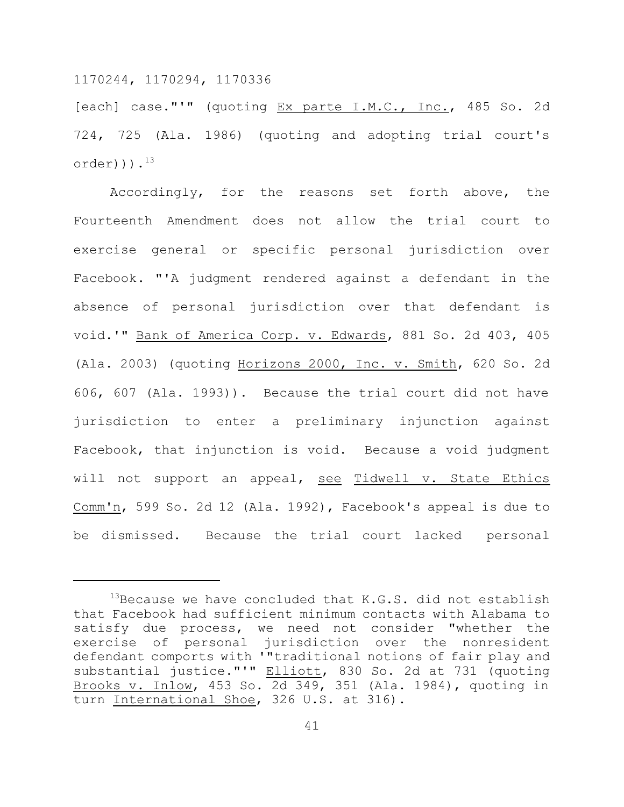[each] case."'" (quoting Ex parte I.M.C., Inc., 485 So. 2d 724, 725 (Ala. 1986) (quoting and adopting trial court's  $order$ ))). $^{13}$ 

Accordingly, for the reasons set forth above, the Fourteenth Amendment does not allow the trial court to exercise general or specific personal jurisdiction over Facebook. "'A judgment rendered against a defendant in the absence of personal jurisdiction over that defendant is void.'" Bank of America Corp. v. Edwards, 881 So. 2d 403, 405 (Ala. 2003) (quoting Horizons 2000, Inc. v. Smith, 620 So. 2d 606, 607 (Ala. 1993)). Because the trial court did not have jurisdiction to enter a preliminary injunction against Facebook, that injunction is void. Because a void judgment will not support an appeal, see Tidwell v. State Ethics Comm'n, 599 So. 2d 12 (Ala. 1992), Facebook's appeal is due to be dismissed. Because the trial court lacked personal

 $13$ Because we have concluded that K.G.S. did not establish that Facebook had sufficient minimum contacts with Alabama to satisfy due process, we need not consider "whether the exercise of personal jurisdiction over the nonresident defendant comports with '"traditional notions of fair play and substantial justice."'" Elliott, 830 So. 2d at 731 (quoting Brooks v. Inlow, 453 So. 2d 349, 351 (Ala. 1984), quoting in turn International Shoe, 326 U.S. at 316).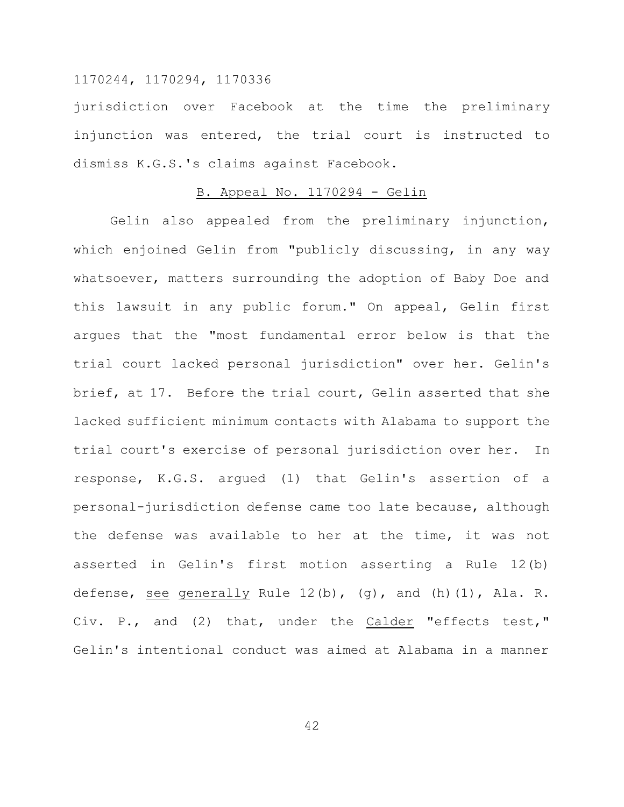jurisdiction over Facebook at the time the preliminary injunction was entered, the trial court is instructed to dismiss K.G.S.'s claims against Facebook.

## B. Appeal No. 1170294 - Gelin

Gelin also appealed from the preliminary injunction, which enjoined Gelin from "publicly discussing, in any way whatsoever, matters surrounding the adoption of Baby Doe and this lawsuit in any public forum." On appeal, Gelin first argues that the "most fundamental error below is that the trial court lacked personal jurisdiction" over her. Gelin's brief, at 17. Before the trial court, Gelin asserted that she lacked sufficient minimum contacts with Alabama to support the trial court's exercise of personal jurisdiction over her. In response, K.G.S. argued (1) that Gelin's assertion of a personal-jurisdiction defense came too late because, although the defense was available to her at the time, it was not asserted in Gelin's first motion asserting a Rule 12(b) defense, see generally Rule 12(b), (g), and (h)(1), Ala. R. Civ. P., and (2) that, under the Calder "effects test," Gelin's intentional conduct was aimed at Alabama in a manner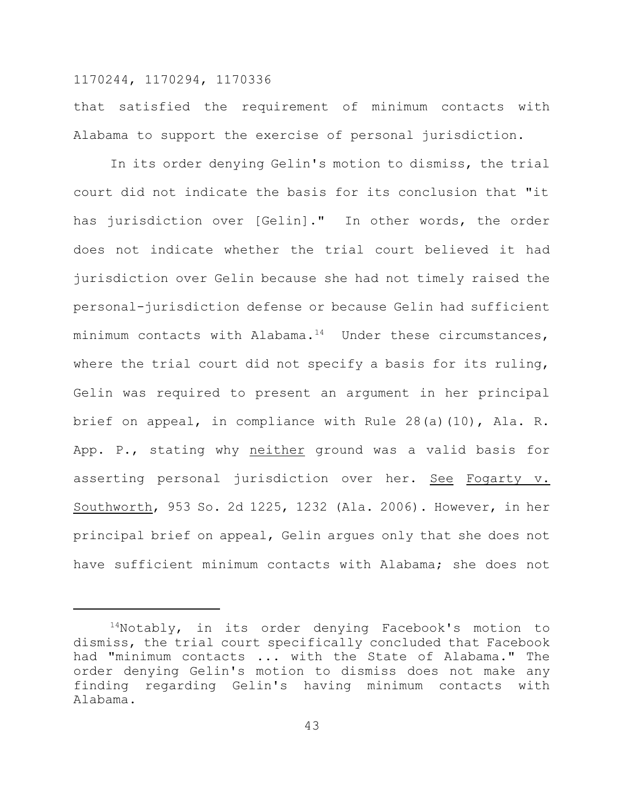that satisfied the requirement of minimum contacts with Alabama to support the exercise of personal jurisdiction.

In its order denying Gelin's motion to dismiss, the trial court did not indicate the basis for its conclusion that "it has jurisdiction over [Gelin]." In other words, the order does not indicate whether the trial court believed it had jurisdiction over Gelin because she had not timely raised the personal-jurisdiction defense or because Gelin had sufficient minimum contacts with Alabama.<sup>14</sup> Under these circumstances, where the trial court did not specify a basis for its ruling, Gelin was required to present an argument in her principal brief on appeal, in compliance with Rule 28(a)(10), Ala. R. App. P., stating why neither ground was a valid basis for asserting personal jurisdiction over her. See Fogarty v. Southworth, 953 So. 2d 1225, 1232 (Ala. 2006). However, in her principal brief on appeal, Gelin argues only that she does not have sufficient minimum contacts with Alabama; she does not

 $14$ Notably, in its order denying Facebook's motion to dismiss, the trial court specifically concluded that Facebook had "minimum contacts ... with the State of Alabama." The order denying Gelin's motion to dismiss does not make any finding regarding Gelin's having minimum contacts with Alabama.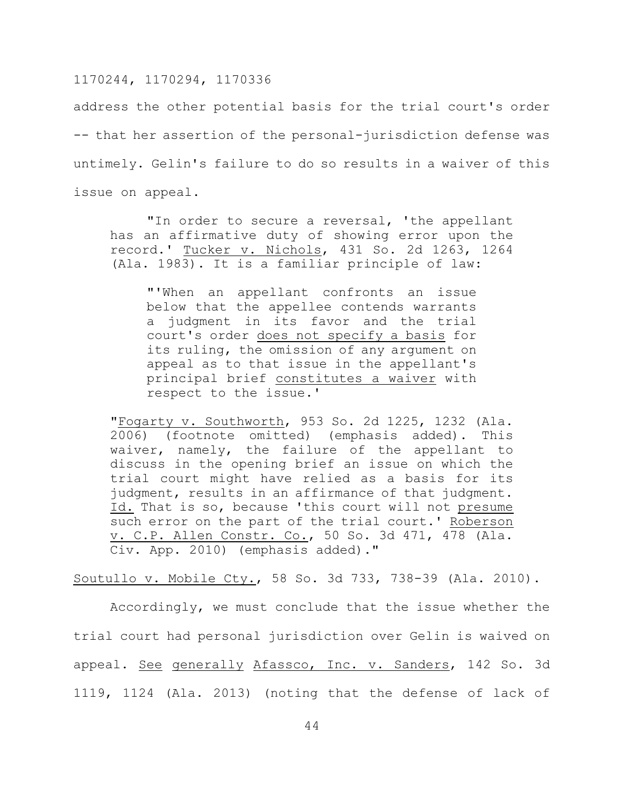address the other potential basis for the trial court's order -- that her assertion of the personal-jurisdiction defense was untimely. Gelin's failure to do so results in a waiver of this issue on appeal.

"In order to secure a reversal, 'the appellant has an affirmative duty of showing error upon the record.' Tucker v. Nichols, 431 So. 2d 1263, 1264 (Ala. 1983). It is a familiar principle of law:

"'When an appellant confronts an issue below that the appellee contends warrants a judgment in its favor and the trial court's order does not specify a basis for its ruling, the omission of any argument on appeal as to that issue in the appellant's principal brief constitutes a waiver with respect to the issue.'

"Fogarty v. Southworth, 953 So. 2d 1225, 1232 (Ala. 2006) (footnote omitted) (emphasis added). This waiver, namely, the failure of the appellant to discuss in the opening brief an issue on which the trial court might have relied as a basis for its judgment, results in an affirmance of that judgment. Id. That is so, because 'this court will not presume such error on the part of the trial court.' Roberson v. C.P. Allen Constr. Co., 50 So. 3d 471, 478 (Ala. Civ. App. 2010) (emphasis added)."

Soutullo v. Mobile Cty., 58 So. 3d 733, 738-39 (Ala. 2010).

Accordingly, we must conclude that the issue whether the trial court had personal jurisdiction over Gelin is waived on appeal. See generally Afassco, Inc. v. Sanders, 142 So. 3d 1119, 1124 (Ala. 2013) (noting that the defense of lack of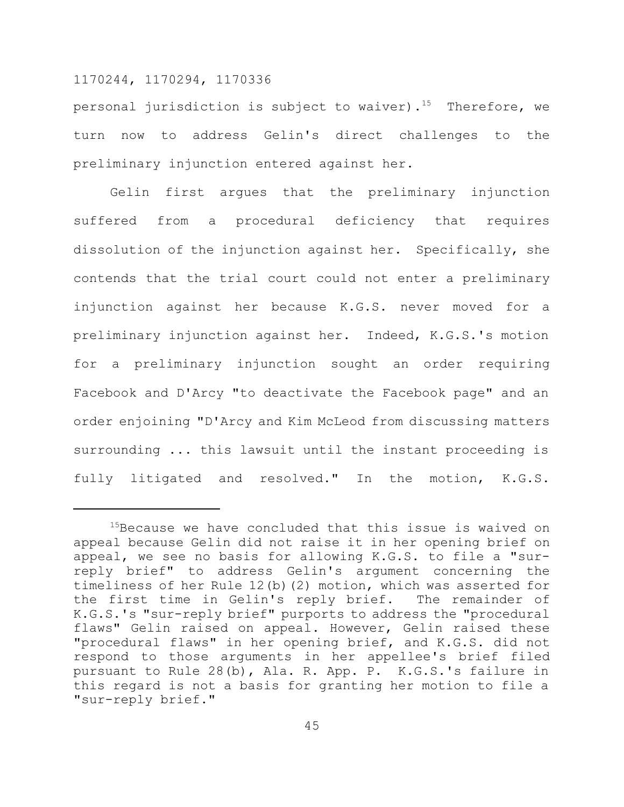personal jurisdiction is subject to waiver).<sup>15</sup> Therefore, we turn now to address Gelin's direct challenges to the preliminary injunction entered against her.

Gelin first argues that the preliminary injunction suffered from a procedural deficiency that requires dissolution of the injunction against her. Specifically, she contends that the trial court could not enter a preliminary injunction against her because K.G.S. never moved for a preliminary injunction against her. Indeed, K.G.S.'s motion for a preliminary injunction sought an order requiring Facebook and D'Arcy "to deactivate the Facebook page" and an order enjoining "D'Arcy and Kim McLeod from discussing matters surrounding ... this lawsuit until the instant proceeding is fully litigated and resolved." In the motion, K.G.S.

<sup>&</sup>lt;sup>15</sup>Because we have concluded that this issue is waived on appeal because Gelin did not raise it in her opening brief on appeal, we see no basis for allowing K.G.S. to file a "surreply brief" to address Gelin's argument concerning the timeliness of her Rule 12(b)(2) motion, which was asserted for the first time in Gelin's reply brief. The remainder of K.G.S.'s "sur-reply brief" purports to address the "procedural flaws" Gelin raised on appeal. However, Gelin raised these "procedural flaws" in her opening brief, and K.G.S. did not respond to those arguments in her appellee's brief filed pursuant to Rule 28(b), Ala. R. App. P. K.G.S.'s failure in this regard is not a basis for granting her motion to file a "sur-reply brief."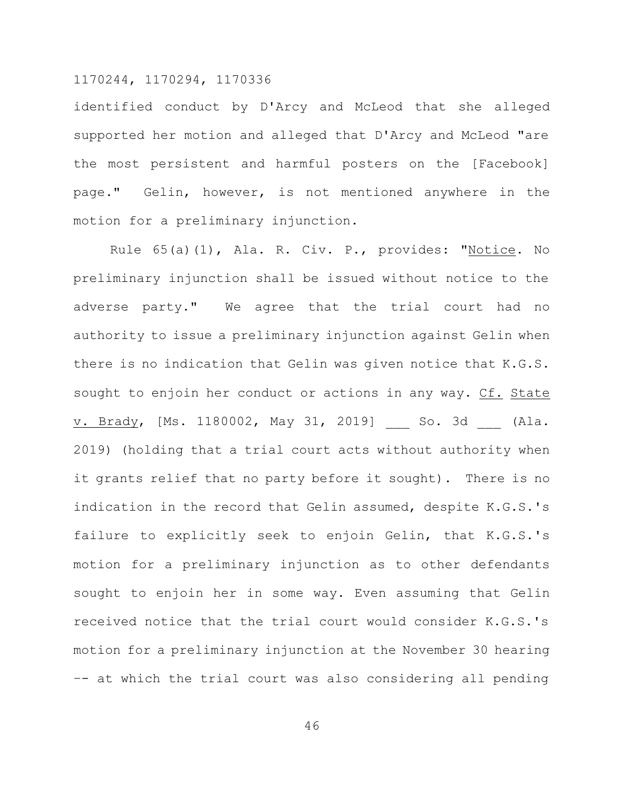identified conduct by D'Arcy and McLeod that she alleged supported her motion and alleged that D'Arcy and McLeod "are the most persistent and harmful posters on the [Facebook] page." Gelin, however, is not mentioned anywhere in the motion for a preliminary injunction.

Rule 65(a)(1), Ala. R. Civ. P., provides: "Notice. No preliminary injunction shall be issued without notice to the adverse party." We agree that the trial court had no authority to issue a preliminary injunction against Gelin when there is no indication that Gelin was given notice that K.G.S. sought to enjoin her conduct or actions in any way. Cf. State v. Brady, [Ms. 1180002, May 31, 2019] So. 3d (Ala. 2019) (holding that a trial court acts without authority when it grants relief that no party before it sought). There is no indication in the record that Gelin assumed, despite K.G.S.'s failure to explicitly seek to enjoin Gelin, that K.G.S.'s motion for a preliminary injunction as to other defendants sought to enjoin her in some way. Even assuming that Gelin received notice that the trial court would consider K.G.S.'s motion for a preliminary injunction at the November 30 hearing –- at which the trial court was also considering all pending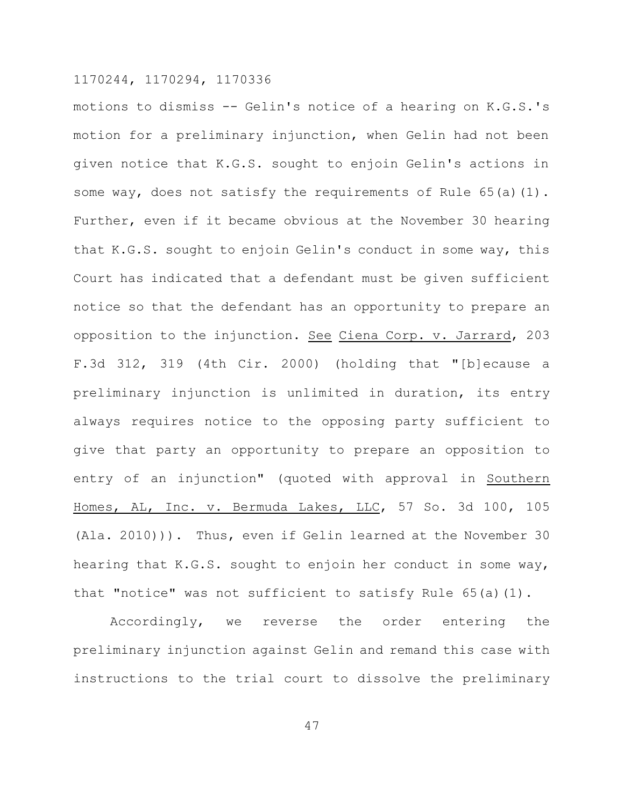motions to dismiss -- Gelin's notice of a hearing on K.G.S.'s motion for a preliminary injunction, when Gelin had not been given notice that K.G.S. sought to enjoin Gelin's actions in some way, does not satisfy the requirements of Rule 65(a)(1). Further, even if it became obvious at the November 30 hearing that K.G.S. sought to enjoin Gelin's conduct in some way, this Court has indicated that a defendant must be given sufficient notice so that the defendant has an opportunity to prepare an opposition to the injunction. See Ciena Corp. v. Jarrard, 203 F.3d 312, 319 (4th Cir. 2000) (holding that "[b]ecause a preliminary injunction is unlimited in duration, its entry always requires notice to the opposing party sufficient to give that party an opportunity to prepare an opposition to entry of an injunction" (quoted with approval in Southern Homes, AL, Inc. v. Bermuda Lakes, LLC, 57 So. 3d 100, 105 (Ala. 2010))). Thus, even if Gelin learned at the November 30 hearing that K.G.S. sought to enjoin her conduct in some way, that "notice" was not sufficient to satisfy Rule 65(a)(1).

Accordingly, we reverse the order entering the preliminary injunction against Gelin and remand this case with instructions to the trial court to dissolve the preliminary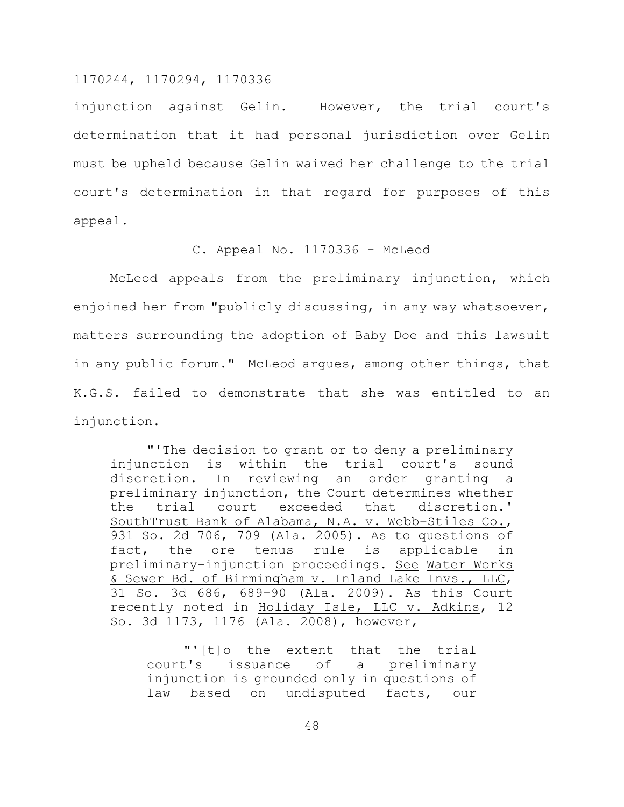injunction against Gelin. However, the trial court's determination that it had personal jurisdiction over Gelin must be upheld because Gelin waived her challenge to the trial court's determination in that regard for purposes of this appeal.

#### C. Appeal No. 1170336 - McLeod

McLeod appeals from the preliminary injunction, which enjoined her from "publicly discussing, in any way whatsoever, matters surrounding the adoption of Baby Doe and this lawsuit in any public forum." McLeod argues, among other things, that K.G.S. failed to demonstrate that she was entitled to an injunction.

"'The decision to grant or to deny a preliminary injunction is within the trial court's sound discretion. In reviewing an order granting a preliminary injunction, the Court determines whether the trial court exceeded that discretion.' SouthTrust Bank of Alabama, N.A. v. Webb–Stiles Co., 931 So. 2d 706, 709 (Ala. 2005). As to questions of fact, the ore tenus rule is applicable in preliminary-injunction proceedings. See Water Works & Sewer Bd. of Birmingham v. Inland Lake Invs., LLC, 31 So. 3d 686, 689–90 (Ala. 2009). As this Court recently noted in Holiday Isle, LLC v. Adkins, 12 So. 3d 1173, 1176 (Ala. 2008), however,

"'[t]o the extent that the trial court's issuance of a preliminary injunction is grounded only in questions of law based on undisputed facts, our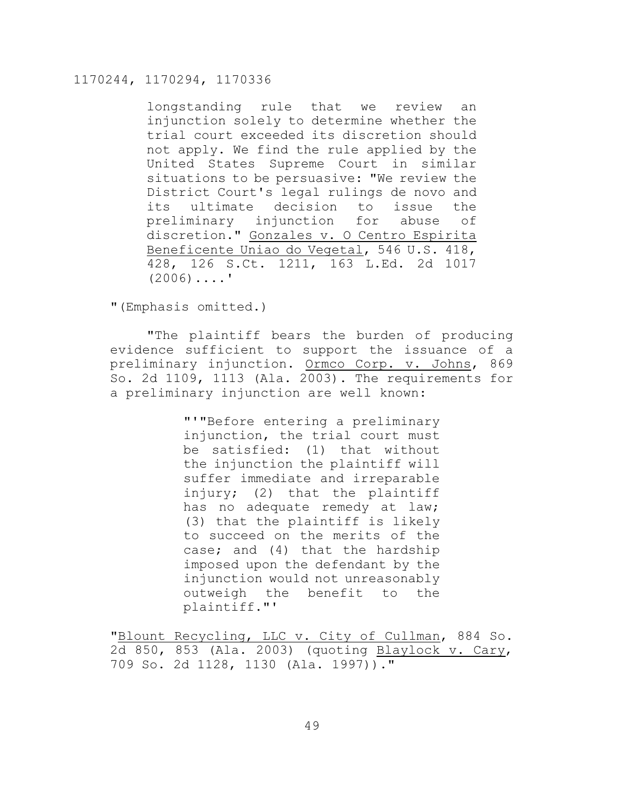longstanding rule that we review an injunction solely to determine whether the trial court exceeded its discretion should not apply. We find the rule applied by the United States Supreme Court in similar situations to be persuasive: "We review the District Court's legal rulings de novo and its ultimate decision to issue the preliminary injunction for abuse of discretion." Gonzales v. O Centro Espirita Beneficente Uniao do Vegetal, 546 U.S. 418, 428, 126 S.Ct. 1211, 163 L.Ed. 2d 1017  $(2006)$ ....'

"(Emphasis omitted.)

"The plaintiff bears the burden of producing evidence sufficient to support the issuance of a preliminary injunction. Ormco Corp. v. Johns, 869 So. 2d 1109, 1113 (Ala. 2003). The requirements for a preliminary injunction are well known:

> "'"Before entering a preliminary injunction, the trial court must be satisfied: (1) that without the injunction the plaintiff will suffer immediate and irreparable injury; (2) that the plaintiff has no adequate remedy at law; (3) that the plaintiff is likely to succeed on the merits of the case; and (4) that the hardship imposed upon the defendant by the injunction would not unreasonably outweigh the benefit to the plaintiff."'

"Blount Recycling, LLC v. City of Cullman, 884 So. 2d 850, 853 (Ala. 2003) (quoting Blaylock v. Cary, 709 So. 2d 1128, 1130 (Ala. 1997))."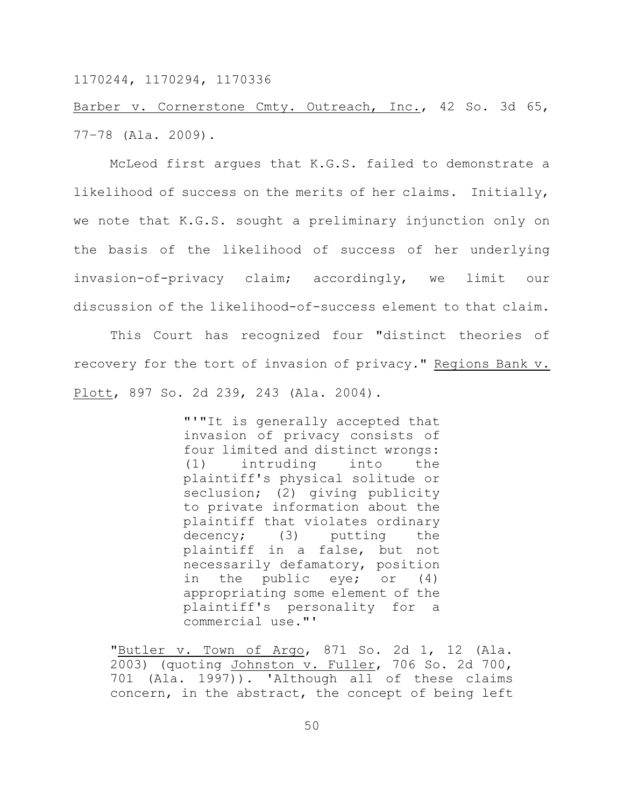Barber v. Cornerstone Cmty. Outreach, Inc., 42 So. 3d 65, 77–78 (Ala. 2009).

McLeod first argues that K.G.S. failed to demonstrate a likelihood of success on the merits of her claims. Initially, we note that K.G.S. sought a preliminary injunction only on the basis of the likelihood of success of her underlying invasion-of-privacy claim; accordingly, we limit our discussion of the likelihood-of-success element to that claim.

This Court has recognized four "distinct theories of recovery for the tort of invasion of privacy." Regions Bank v. Plott, 897 So. 2d 239, 243 (Ala. 2004).

> "'"It is generally accepted that invasion of privacy consists of four limited and distinct wrongs: (1) intruding into the plaintiff's physical solitude or seclusion; (2) giving publicity to private information about the plaintiff that violates ordinary decency; (3) putting the plaintiff in a false, but not necessarily defamatory, position in the public eye; or (4) appropriating some element of the plaintiff's personality for a commercial use."'

"Butler v. Town of Argo, 871 So. 2d 1, 12 (Ala. 2003) (quoting Johnston v. Fuller, 706 So. 2d 700, 701 (Ala. 1997)). 'Although all of these claims concern, in the abstract, the concept of being left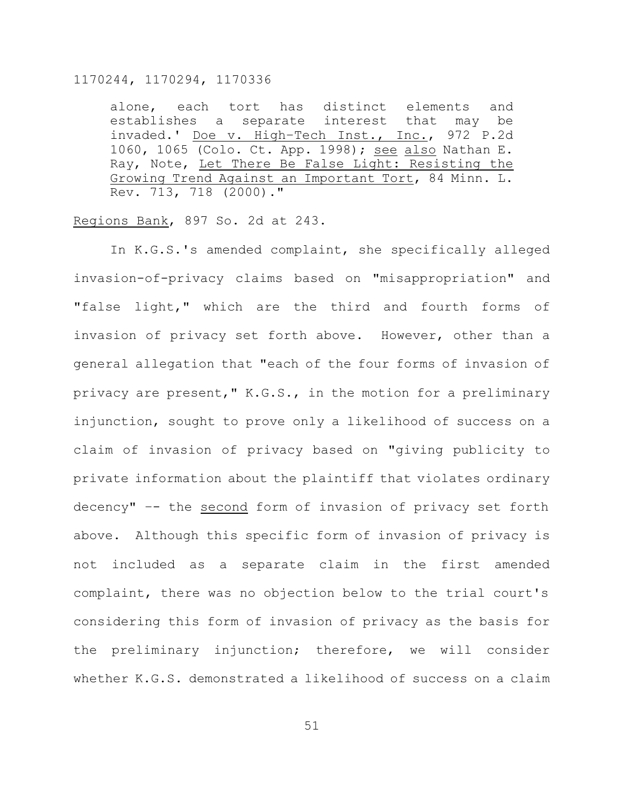alone, each tort has distinct elements and establishes a separate interest that may be invaded.' Doe v. High–Tech Inst., Inc., 972 P.2d 1060, 1065 (Colo. Ct. App. 1998); see also Nathan E. Ray, Note, Let There Be False Light: Resisting the Growing Trend Against an Important Tort, 84 Minn. L. Rev. 713, 718 (2000)."

#### Regions Bank, 897 So. 2d at 243.

In K.G.S.'s amended complaint, she specifically alleged invasion-of-privacy claims based on "misappropriation" and "false light," which are the third and fourth forms of invasion of privacy set forth above. However, other than a general allegation that "each of the four forms of invasion of privacy are present," K.G.S., in the motion for a preliminary injunction, sought to prove only a likelihood of success on a claim of invasion of privacy based on "giving publicity to private information about the plaintiff that violates ordinary decency" –- the second form of invasion of privacy set forth above. Although this specific form of invasion of privacy is not included as a separate claim in the first amended complaint, there was no objection below to the trial court's considering this form of invasion of privacy as the basis for the preliminary injunction; therefore, we will consider whether K.G.S. demonstrated a likelihood of success on a claim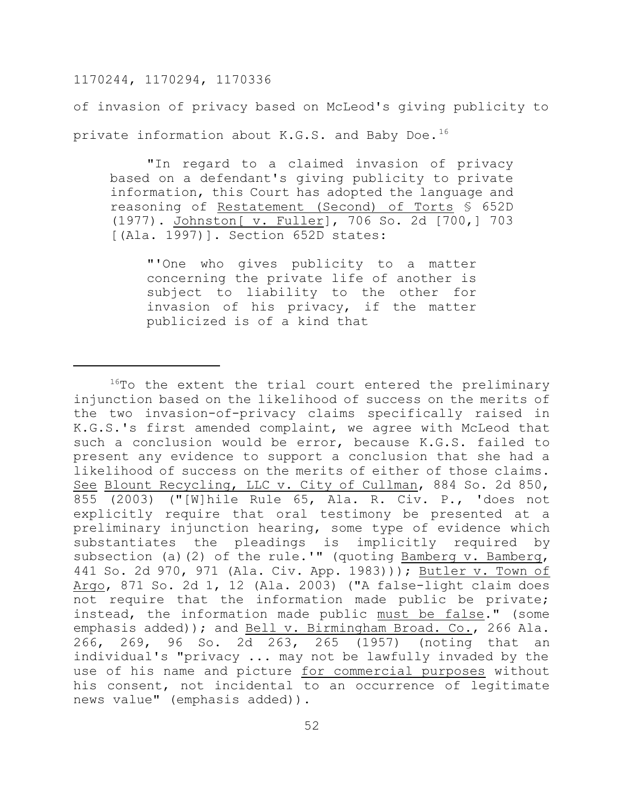of invasion of privacy based on McLeod's giving publicity to private information about K.G.S. and Baby Doe.<sup>16</sup>

"In regard to a claimed invasion of privacy based on a defendant's giving publicity to private information, this Court has adopted the language and reasoning of Restatement (Second) of Torts § 652D (1977). Johnston[ v. Fuller], 706 So. 2d [700,] 703 [(Ala. 1997)]. Section 652D states:

"'One who gives publicity to a matter concerning the private life of another is subject to liability to the other for invasion of his privacy, if the matter publicized is of a kind that

<sup>&</sup>lt;sup>16</sup>To the extent the trial court entered the preliminary injunction based on the likelihood of success on the merits of the two invasion-of-privacy claims specifically raised in K.G.S.'s first amended complaint, we agree with McLeod that such a conclusion would be error, because K.G.S. failed to present any evidence to support a conclusion that she had a likelihood of success on the merits of either of those claims. See Blount Recycling, LLC v. City of Cullman, 884 So. 2d 850, 855 (2003) ("[W]hile Rule 65, Ala. R. Civ. P., 'does not explicitly require that oral testimony be presented at a preliminary injunction hearing, some type of evidence which substantiates the pleadings is implicitly required by subsection (a)(2) of the rule.'" (quoting Bamberg v. Bamberg, 441 So. 2d 970, 971 (Ala. Civ. App. 1983))); Butler v. Town of Argo, 871 So. 2d 1, 12 (Ala. 2003) ("A false-light claim does not require that the information made public be private; instead, the information made public must be false." (some emphasis added)); and Bell v. Birmingham Broad. Co., 266 Ala. 266, 269, 96 So. 2 $\overline{d}$  263, 265 (1957) (noting that an individual's "privacy ... may not be lawfully invaded by the use of his name and picture for commercial purposes without his consent, not incidental to an occurrence of legitimate news value" (emphasis added)).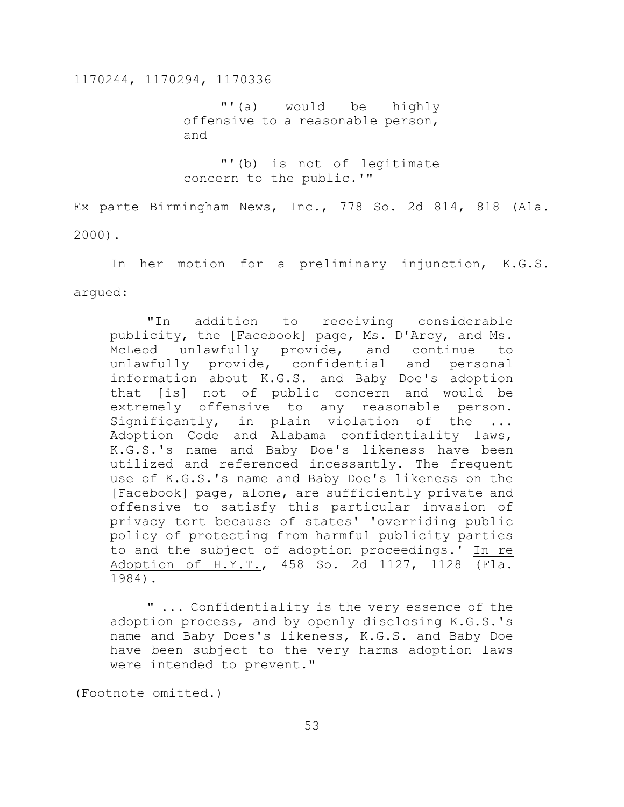"'(a) would be highly offensive to a reasonable person, and

"'(b) is not of legitimate concern to the public.'"

Ex parte Birmingham News, Inc., 778 So. 2d 814, 818 (Ala. 2000).

In her motion for a preliminary injunction, K.G.S. argued:

"In addition to receiving considerable publicity, the [Facebook] page, Ms. D'Arcy, and Ms. McLeod unlawfully provide, and continue to unlawfully provide, confidential and personal information about K.G.S. and Baby Doe's adoption that [is] not of public concern and would be extremely offensive to any reasonable person. Significantly, in plain violation of the ... Adoption Code and Alabama confidentiality laws, K.G.S.'s name and Baby Doe's likeness have been utilized and referenced incessantly. The frequent use of K.G.S.'s name and Baby Doe's likeness on the [Facebook] page, alone, are sufficiently private and offensive to satisfy this particular invasion of privacy tort because of states' 'overriding public policy of protecting from harmful publicity parties to and the subject of adoption proceedings.' In re Adoption of H.Y.T., 458 So. 2d 1127, 1128 (Fla. 1984).

" ... Confidentiality is the very essence of the adoption process, and by openly disclosing K.G.S.'s name and Baby Does's likeness, K.G.S. and Baby Doe have been subject to the very harms adoption laws were intended to prevent."

(Footnote omitted.)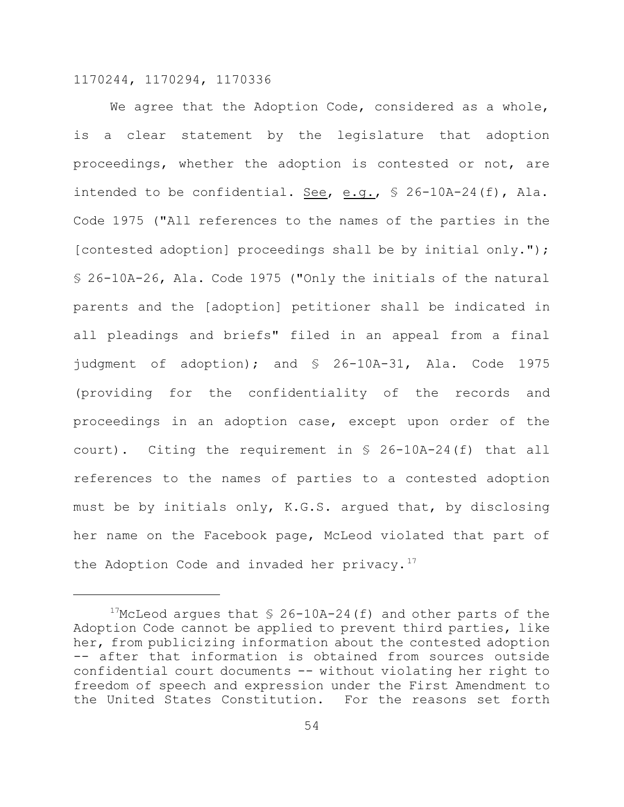We agree that the Adoption Code, considered as a whole, is a clear statement by the legislature that adoption proceedings, whether the adoption is contested or not, are intended to be confidential. See, e.g., § 26-10A-24(f), Ala. Code 1975 ("All references to the names of the parties in the [contested adoption] proceedings shall be by initial only."); § 26-10A-26, Ala. Code 1975 ("Only the initials of the natural parents and the [adoption] petitioner shall be indicated in all pleadings and briefs" filed in an appeal from a final judgment of adoption); and § 26-10A-31, Ala. Code 1975 (providing for the confidentiality of the records and proceedings in an adoption case, except upon order of the court). Citing the requirement in § 26-10A-24(f) that all references to the names of parties to a contested adoption must be by initials only, K.G.S. argued that, by disclosing her name on the Facebook page, McLeod violated that part of the Adoption Code and invaded her privacy.<sup>17</sup>

<sup>&</sup>lt;sup>17</sup>McLeod argues that  $\frac{17}{26}$ -10A-24(f) and other parts of the Adoption Code cannot be applied to prevent third parties, like her, from publicizing information about the contested adoption -- after that information is obtained from sources outside confidential court documents -- without violating her right to freedom of speech and expression under the First Amendment to the United States Constitution. For the reasons set forth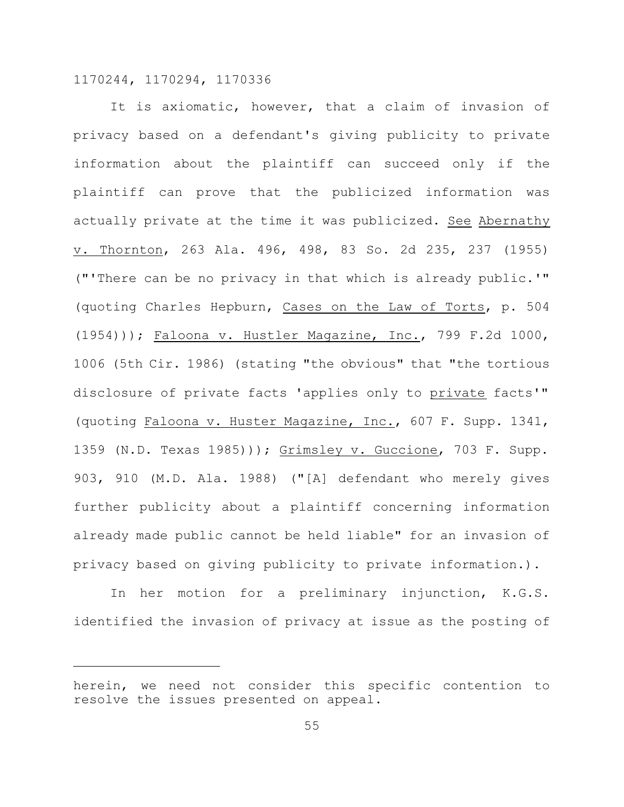It is axiomatic, however, that a claim of invasion of privacy based on a defendant's giving publicity to private information about the plaintiff can succeed only if the plaintiff can prove that the publicized information was actually private at the time it was publicized. See Abernathy v. Thornton, 263 Ala. 496, 498, 83 So. 2d 235, 237 (1955) ("'There can be no privacy in that which is already public.'" (quoting Charles Hepburn, Cases on the Law of Torts, p. 504 (1954))); Faloona v. Hustler Magazine, Inc., 799 F.2d 1000, 1006 (5th Cir. 1986) (stating "the obvious" that "the tortious disclosure of private facts 'applies only to private facts'" (quoting Faloona v. Huster Magazine, Inc., 607 F. Supp. 1341, 1359 (N.D. Texas 1985))); Grimsley v. Guccione, 703 F. Supp. 903, 910 (M.D. Ala. 1988) ("[A] defendant who merely gives further publicity about a plaintiff concerning information already made public cannot be held liable" for an invasion of privacy based on giving publicity to private information.).

In her motion for a preliminary injunction, K.G.S. identified the invasion of privacy at issue as the posting of

herein, we need not consider this specific contention to resolve the issues presented on appeal.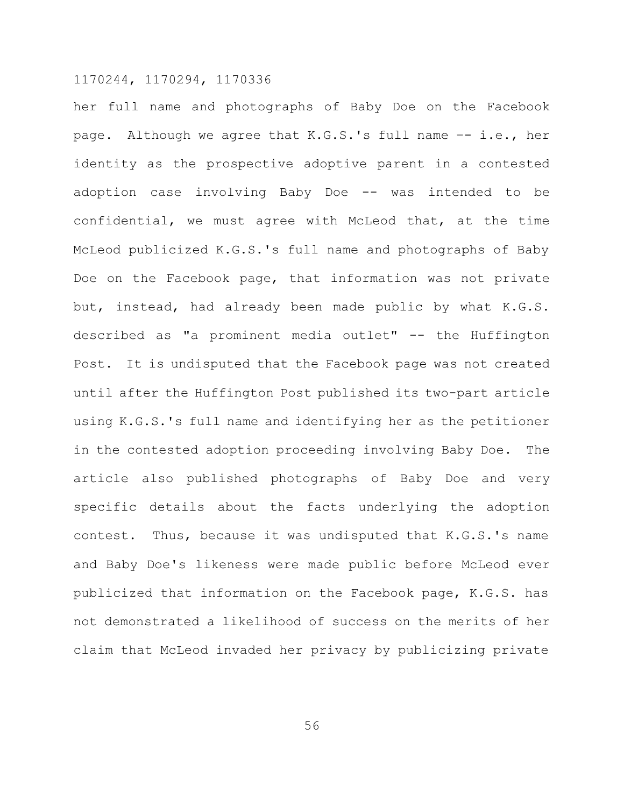her full name and photographs of Baby Doe on the Facebook page. Although we agree that K.G.S.'s full name –- i.e., her identity as the prospective adoptive parent in a contested adoption case involving Baby Doe -- was intended to be confidential, we must agree with McLeod that, at the time McLeod publicized K.G.S.'s full name and photographs of Baby Doe on the Facebook page, that information was not private but, instead, had already been made public by what K.G.S. described as "a prominent media outlet" -- the Huffington Post. It is undisputed that the Facebook page was not created until after the Huffington Post published its two-part article using K.G.S.'s full name and identifying her as the petitioner in the contested adoption proceeding involving Baby Doe. The article also published photographs of Baby Doe and very specific details about the facts underlying the adoption contest. Thus, because it was undisputed that K.G.S.'s name and Baby Doe's likeness were made public before McLeod ever publicized that information on the Facebook page, K.G.S. has not demonstrated a likelihood of success on the merits of her claim that McLeod invaded her privacy by publicizing private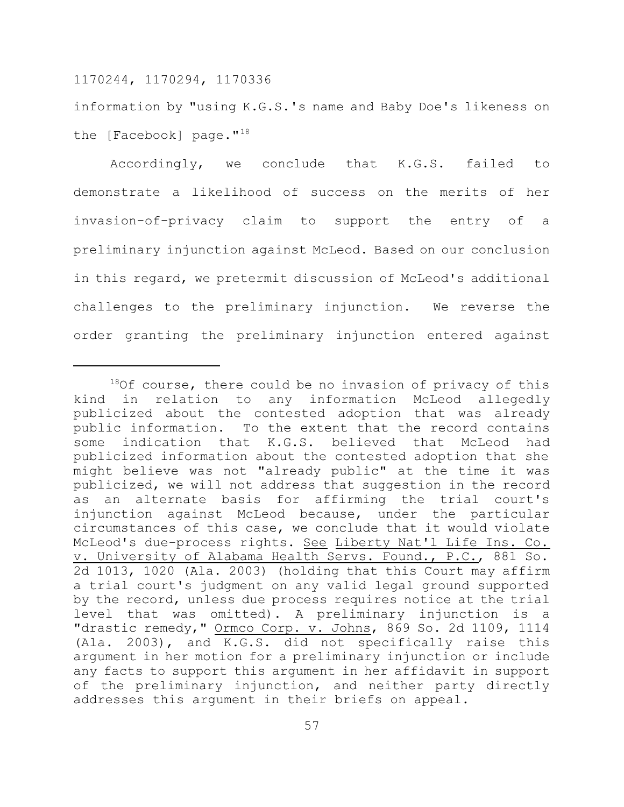information by "using K.G.S.'s name and Baby Doe's likeness on the [Facebook] page."<sup>18</sup>

Accordingly, we conclude that K.G.S. failed to demonstrate a likelihood of success on the merits of her invasion-of-privacy claim to support the entry of a preliminary injunction against McLeod. Based on our conclusion in this regard, we pretermit discussion of McLeod's additional challenges to the preliminary injunction. We reverse the order granting the preliminary injunction entered against

 $180f$  course, there could be no invasion of privacy of this kind in relation to any information McLeod allegedly publicized about the contested adoption that was already public information. To the extent that the record contains some indication that K.G.S. believed that McLeod had publicized information about the contested adoption that she might believe was not "already public" at the time it was publicized, we will not address that suggestion in the record as an alternate basis for affirming the trial court's injunction against McLeod because, under the particular circumstances of this case, we conclude that it would violate McLeod's due-process rights. See Liberty Nat'l Life Ins. Co. v. University of Alabama Health Servs. Found., P.C., 881 So. 2d 1013, 1020 (Ala. 2003) (holding that this Court may affirm a trial court's judgment on any valid legal ground supported by the record, unless due process requires notice at the trial level that was omitted). A preliminary injunction is a "drastic remedy," Ormco Corp. v. Johns, 869 So. 2d 1109, 1114 (Ala. 2003), and K.G.S. did not specifically raise this argument in her motion for a preliminary injunction or include any facts to support this argument in her affidavit in support of the preliminary injunction, and neither party directly addresses this argument in their briefs on appeal.